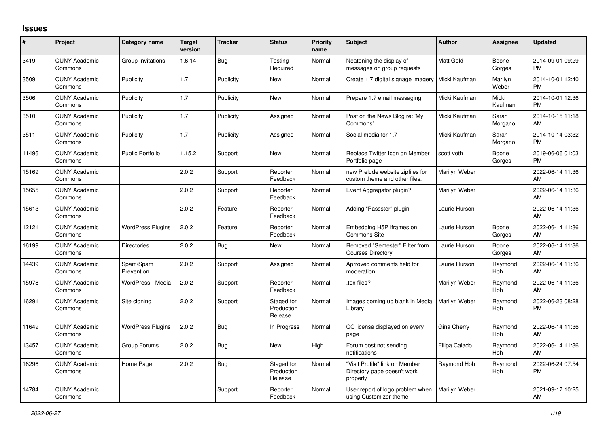## **Issues**

| #     | Project                         | <b>Category name</b>     | <b>Target</b><br>version | <b>Tracker</b> | <b>Status</b>                       | <b>Priority</b><br>name | <b>Subject</b>                                                            | <b>Author</b>    | <b>Assignee</b>       | <b>Updated</b>                |
|-------|---------------------------------|--------------------------|--------------------------|----------------|-------------------------------------|-------------------------|---------------------------------------------------------------------------|------------------|-----------------------|-------------------------------|
| 3419  | <b>CUNY Academic</b><br>Commons | Group Invitations        | 1.6.14                   | Bug            | Testing<br>Required                 | Normal                  | Neatening the display of<br>messages on group requests                    | <b>Matt Gold</b> | Boone<br>Gorges       | 2014-09-01 09:29<br><b>PM</b> |
| 3509  | <b>CUNY Academic</b><br>Commons | Publicity                | 1.7                      | Publicity      | New                                 | Normal                  | Create 1.7 digital signage imagery                                        | Micki Kaufman    | Marilyn<br>Weber      | 2014-10-01 12:40<br><b>PM</b> |
| 3506  | <b>CUNY Academic</b><br>Commons | Publicity                | 1.7                      | Publicity      | <b>New</b>                          | Normal                  | Prepare 1.7 email messaging                                               | Micki Kaufman    | Micki<br>Kaufman      | 2014-10-01 12:36<br><b>PM</b> |
| 3510  | <b>CUNY Academic</b><br>Commons | Publicity                | 1.7                      | Publicity      | Assigned                            | Normal                  | Post on the News Blog re: 'My<br>Commons'                                 | Micki Kaufman    | Sarah<br>Morgano      | 2014-10-15 11:18<br>AM        |
| 3511  | <b>CUNY Academic</b><br>Commons | Publicity                | 1.7                      | Publicity      | Assigned                            | Normal                  | Social media for 1.7                                                      | Micki Kaufman    | Sarah<br>Morgano      | 2014-10-14 03:32<br><b>PM</b> |
| 11496 | <b>CUNY Academic</b><br>Commons | <b>Public Portfolio</b>  | 1.15.2                   | Support        | New                                 | Normal                  | Replace Twitter Icon on Member<br>Portfolio page                          | scott voth       | Boone<br>Gorges       | 2019-06-06 01:03<br><b>PM</b> |
| 15169 | <b>CUNY Academic</b><br>Commons |                          | 2.0.2                    | Support        | Reporter<br>Feedback                | Normal                  | new Prelude website zipfiles for<br>custom theme and other files.         | Marilyn Weber    |                       | 2022-06-14 11:36<br>AM        |
| 15655 | <b>CUNY Academic</b><br>Commons |                          | 2.0.2                    | Support        | Reporter<br>Feedback                | Normal                  | Event Aggregator plugin?                                                  | Marilyn Weber    |                       | 2022-06-14 11:36<br>AM        |
| 15613 | <b>CUNY Academic</b><br>Commons |                          | 2.0.2                    | Feature        | Reporter<br>Feedback                | Normal                  | Adding "Passster" plugin                                                  | Laurie Hurson    |                       | 2022-06-14 11:36<br>AM        |
| 12121 | <b>CUNY Academic</b><br>Commons | <b>WordPress Plugins</b> | 2.0.2                    | Feature        | Reporter<br>Feedback                | Normal                  | Embedding H5P Iframes on<br><b>Commons Site</b>                           | Laurie Hurson    | Boone<br>Gorges       | 2022-06-14 11:36<br>AM        |
| 16199 | <b>CUNY Academic</b><br>Commons | <b>Directories</b>       | 2.0.2                    | Bug            | <b>New</b>                          | Normal                  | Removed "Semester" Filter from<br><b>Courses Directory</b>                | Laurie Hurson    | Boone<br>Gorges       | 2022-06-14 11:36<br>AM        |
| 14439 | <b>CUNY Academic</b><br>Commons | Spam/Spam<br>Prevention  | 2.0.2                    | Support        | Assigned                            | Normal                  | Aprroved comments held for<br>moderation                                  | Laurie Hurson    | Raymond<br><b>Hoh</b> | 2022-06-14 11:36<br>AM        |
| 15978 | <b>CUNY Academic</b><br>Commons | WordPress - Media        | 2.0.2                    | Support        | Reporter<br>Feedback                | Normal                  | tex files?                                                                | Marilyn Weber    | Raymond<br>Hoh        | 2022-06-14 11:36<br>AM        |
| 16291 | <b>CUNY Academic</b><br>Commons | Site cloning             | 2.0.2                    | Support        | Staged for<br>Production<br>Release | Normal                  | Images coming up blank in Media<br>Library                                | Marilyn Weber    | Raymond<br>Hoh        | 2022-06-23 08:28<br><b>PM</b> |
| 11649 | <b>CUNY Academic</b><br>Commons | <b>WordPress Plugins</b> | 2.0.2                    | Bug            | In Progress                         | Normal                  | CC license displayed on every<br>page                                     | Gina Cherry      | Raymond<br><b>Hoh</b> | 2022-06-14 11:36<br>AM        |
| 13457 | <b>CUNY Academic</b><br>Commons | Group Forums             | 2.0.2                    | Bug            | <b>New</b>                          | High                    | Forum post not sending<br>notifications                                   | Filipa Calado    | Raymond<br>Hoh        | 2022-06-14 11:36<br>AM        |
| 16296 | <b>CUNY Academic</b><br>Commons | Home Page                | 2.0.2                    | Bug            | Staged for<br>Production<br>Release | Normal                  | "Visit Profile" link on Member<br>Directory page doesn't work<br>properly | Raymond Hoh      | Raymond<br>Hoh        | 2022-06-24 07:54<br><b>PM</b> |
| 14784 | <b>CUNY Academic</b><br>Commons |                          |                          | Support        | Reporter<br>Feedback                | Normal                  | User report of logo problem when<br>using Customizer theme                | Marilyn Weber    |                       | 2021-09-17 10:25<br>AM        |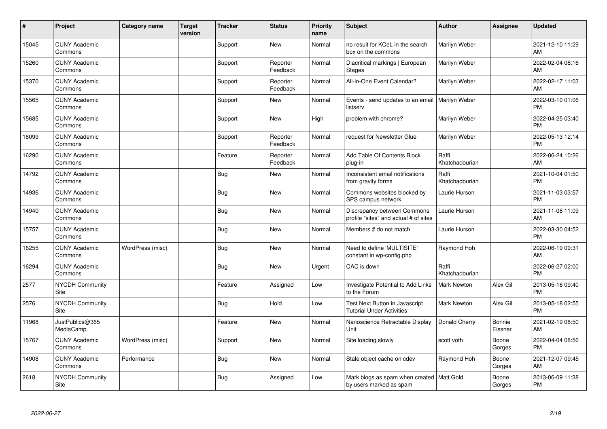| #     | Project                         | <b>Category name</b> | <b>Target</b><br>version | <b>Tracker</b> | <b>Status</b>        | Priority<br>name | <b>Subject</b>                                                         | Author                  | <b>Assignee</b>   | <b>Updated</b>                |
|-------|---------------------------------|----------------------|--------------------------|----------------|----------------------|------------------|------------------------------------------------------------------------|-------------------------|-------------------|-------------------------------|
| 15045 | <b>CUNY Academic</b><br>Commons |                      |                          | Support        | <b>New</b>           | Normal           | no result for KCeL in the search<br>box on the commons                 | Marilyn Weber           |                   | 2021-12-10 11:29<br>AM        |
| 15260 | <b>CUNY Academic</b><br>Commons |                      |                          | Support        | Reporter<br>Feedback | Normal           | Diacritical markings   European<br><b>Stages</b>                       | Marilyn Weber           |                   | 2022-02-04 08:16<br>AM        |
| 15370 | <b>CUNY Academic</b><br>Commons |                      |                          | Support        | Reporter<br>Feedback | Normal           | All-in-One Event Calendar?                                             | Marilyn Weber           |                   | 2022-02-17 11:03<br>AM        |
| 15565 | <b>CUNY Academic</b><br>Commons |                      |                          | Support        | New                  | Normal           | Events - send updates to an email<br>listserv                          | <b>Marilyn Weber</b>    |                   | 2022-03-10 01:06<br><b>PM</b> |
| 15685 | <b>CUNY Academic</b><br>Commons |                      |                          | Support        | <b>New</b>           | High             | problem with chrome?                                                   | Marilyn Weber           |                   | 2022-04-25 03:40<br><b>PM</b> |
| 16099 | <b>CUNY Academic</b><br>Commons |                      |                          | Support        | Reporter<br>Feedback | Normal           | request for Newsletter Glue                                            | Marilyn Weber           |                   | 2022-05-13 12:14<br><b>PM</b> |
| 16290 | <b>CUNY Academic</b><br>Commons |                      |                          | Feature        | Reporter<br>Feedback | Normal           | Add Table Of Contents Block<br>plug-in                                 | Raffi<br>Khatchadourian |                   | 2022-06-24 10:26<br>AM        |
| 14792 | <b>CUNY Academic</b><br>Commons |                      |                          | Bug            | <b>New</b>           | Normal           | Inconsistent email notifications<br>from gravity forms                 | Raffi<br>Khatchadourian |                   | 2021-10-04 01:50<br><b>PM</b> |
| 14936 | <b>CUNY Academic</b><br>Commons |                      |                          | <b>Bug</b>     | <b>New</b>           | Normal           | Commons websites blocked by<br>SPS campus network                      | Laurie Hurson           |                   | 2021-11-03 03:57<br><b>PM</b> |
| 14940 | <b>CUNY Academic</b><br>Commons |                      |                          | Bug            | <b>New</b>           | Normal           | Discrepancy between Commons<br>profile "sites" and actual # of sites   | Laurie Hurson           |                   | 2021-11-08 11:09<br>AM        |
| 15757 | <b>CUNY Academic</b><br>Commons |                      |                          | Bug            | <b>New</b>           | Normal           | Members # do not match                                                 | Laurie Hurson           |                   | 2022-03-30 04:52<br><b>PM</b> |
| 16255 | <b>CUNY Academic</b><br>Commons | WordPress (misc)     |                          | Bug            | <b>New</b>           | Normal           | Need to define 'MULTISITE'<br>constant in wp-config.php                | Raymond Hoh             |                   | 2022-06-19 09:31<br>AM        |
| 16294 | <b>CUNY Academic</b><br>Commons |                      |                          | <b>Bug</b>     | <b>New</b>           | Urgent           | CAC is down                                                            | Raffi<br>Khatchadourian |                   | 2022-06-27 02:00<br><b>PM</b> |
| 2577  | NYCDH Community<br>Site         |                      |                          | Feature        | Assigned             | Low              | Investigate Potential to Add Links<br>to the Forum                     | <b>Mark Newton</b>      | Alex Gil          | 2013-05-16 09:40<br><b>PM</b> |
| 2576  | <b>NYCDH Community</b><br>Site  |                      |                          | Bug            | Hold                 | Low              | Test Next Button in Javascript<br><b>Tutorial Under Activities</b>     | <b>Mark Newton</b>      | Alex Gil          | 2013-05-18 02:55<br><b>PM</b> |
| 11968 | JustPublics@365<br>MediaCamp    |                      |                          | Feature        | <b>New</b>           | Normal           | Nanoscience Retractable Display<br>Unit                                | Donald Cherry           | Bonnie<br>Eissner | 2021-02-19 08:50<br>AM        |
| 15767 | <b>CUNY Academic</b><br>Commons | WordPress (misc)     |                          | Support        | New                  | Normal           | Site loading slowly                                                    | scott voth              | Boone<br>Gorges   | 2022-04-04 08:56<br><b>PM</b> |
| 14908 | <b>CUNY Academic</b><br>Commons | Performance          |                          | Bug            | <b>New</b>           | Normal           | Stale object cache on cdev                                             | Raymond Hoh             | Boone<br>Gorges   | 2021-12-07 09:45<br>AM        |
| 2618  | <b>NYCDH Community</b><br>Site  |                      |                          | Bug            | Assigned             | Low              | Mark blogs as spam when created   Matt Gold<br>by users marked as spam |                         | Boone<br>Gorges   | 2013-06-09 11:38<br>PM        |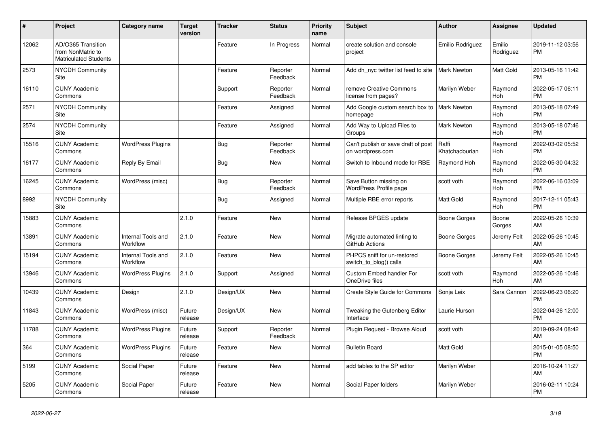| #     | Project                                                                 | <b>Category name</b>           | Target<br>version | <b>Tracker</b> | <b>Status</b>        | <b>Priority</b><br>name | <b>Subject</b>                                          | <b>Author</b>           | <b>Assignee</b>       | <b>Updated</b>                |
|-------|-------------------------------------------------------------------------|--------------------------------|-------------------|----------------|----------------------|-------------------------|---------------------------------------------------------|-------------------------|-----------------------|-------------------------------|
| 12062 | AD/O365 Transition<br>from NonMatric to<br><b>Matriculated Students</b> |                                |                   | Feature        | In Progress          | Normal                  | create solution and console<br>project                  | Emilio Rodriguez        | Emilio<br>Rodriguez   | 2019-11-12 03:56<br><b>PM</b> |
| 2573  | <b>NYCDH Community</b><br>Site                                          |                                |                   | Feature        | Reporter<br>Feedback | Normal                  | Add dh nyc twitter list feed to site                    | <b>Mark Newton</b>      | Matt Gold             | 2013-05-16 11:42<br><b>PM</b> |
| 16110 | <b>CUNY Academic</b><br>Commons                                         |                                |                   | Support        | Reporter<br>Feedback | Normal                  | remove Creative Commons<br>license from pages?          | Marilyn Weber           | Raymond<br>Hoh        | 2022-05-17 06:11<br><b>PM</b> |
| 2571  | NYCDH Community<br>Site                                                 |                                |                   | Feature        | Assigned             | Normal                  | Add Google custom search box to<br>homepage             | <b>Mark Newton</b>      | Raymond<br>Hoh        | 2013-05-18 07:49<br><b>PM</b> |
| 2574  | <b>NYCDH Community</b><br>Site                                          |                                |                   | Feature        | Assigned             | Normal                  | Add Way to Upload Files to<br>Groups                    | <b>Mark Newton</b>      | Raymond<br><b>Hoh</b> | 2013-05-18 07:46<br><b>PM</b> |
| 15516 | <b>CUNY Academic</b><br>Commons                                         | <b>WordPress Plugins</b>       |                   | Bug            | Reporter<br>Feedback | Normal                  | Can't publish or save draft of post<br>on wordpress.com | Raffi<br>Khatchadourian | Raymond<br>Hoh        | 2022-03-02 05:52<br><b>PM</b> |
| 16177 | <b>CUNY Academic</b><br>Commons                                         | Reply By Email                 |                   | <b>Bug</b>     | New                  | Normal                  | Switch to Inbound mode for RBE                          | Raymond Hoh             | Raymond<br><b>Hoh</b> | 2022-05-30 04:32<br><b>PM</b> |
| 16245 | <b>CUNY Academic</b><br>Commons                                         | WordPress (misc)               |                   | Bug            | Reporter<br>Feedback | Normal                  | Save Button missing on<br>WordPress Profile page        | scott voth              | Raymond<br>Hoh        | 2022-06-16 03:09<br><b>PM</b> |
| 8992  | <b>NYCDH Community</b><br>Site                                          |                                |                   | Bug            | Assigned             | Normal                  | Multiple RBE error reports                              | Matt Gold               | Raymond<br>Hoh        | 2017-12-11 05:43<br><b>PM</b> |
| 15883 | <b>CUNY Academic</b><br>Commons                                         |                                | 2.1.0             | Feature        | <b>New</b>           | Normal                  | Release BPGES update                                    | Boone Gorges            | Boone<br>Gorges       | 2022-05-26 10:39<br>AM        |
| 13891 | <b>CUNY Academic</b><br>Commons                                         | Internal Tools and<br>Workflow | 2.1.0             | Feature        | New                  | Normal                  | Migrate automated linting to<br>GitHub Actions          | Boone Gorges            | Jeremy Felt           | 2022-05-26 10:45<br>AM        |
| 15194 | <b>CUNY Academic</b><br>Commons                                         | Internal Tools and<br>Workflow | 2.1.0             | Feature        | <b>New</b>           | Normal                  | PHPCS sniff for un-restored<br>switch to blog() calls   | Boone Gorges            | Jeremy Felt           | 2022-05-26 10:45<br>AM        |
| 13946 | <b>CUNY Academic</b><br>Commons                                         | <b>WordPress Plugins</b>       | 2.1.0             | Support        | Assigned             | Normal                  | <b>Custom Embed handler For</b><br>OneDrive files       | scott voth              | Raymond<br>Hoh        | 2022-05-26 10:46<br>AM        |
| 10439 | <b>CUNY Academic</b><br>Commons                                         | Design                         | 2.1.0             | Design/UX      | New                  | Normal                  | <b>Create Style Guide for Commons</b>                   | Sonja Leix              | Sara Cannon           | 2022-06-23 06:20<br><b>PM</b> |
| 11843 | <b>CUNY Academic</b><br>Commons                                         | WordPress (misc)               | Future<br>release | Design/UX      | New                  | Normal                  | Tweaking the Gutenberg Editor<br>Interface              | Laurie Hurson           |                       | 2022-04-26 12:00<br><b>PM</b> |
| 11788 | <b>CUNY Academic</b><br>Commons                                         | <b>WordPress Plugins</b>       | Future<br>release | Support        | Reporter<br>Feedback | Normal                  | Plugin Request - Browse Aloud                           | scott voth              |                       | 2019-09-24 08:42<br>AM        |
| 364   | <b>CUNY Academic</b><br>Commons                                         | <b>WordPress Plugins</b>       | Future<br>release | Feature        | <b>New</b>           | Normal                  | <b>Bulletin Board</b>                                   | Matt Gold               |                       | 2015-01-05 08:50<br><b>PM</b> |
| 5199  | <b>CUNY Academic</b><br>Commons                                         | Social Paper                   | Future<br>release | Feature        | New                  | Normal                  | add tables to the SP editor                             | Marilyn Weber           |                       | 2016-10-24 11:27<br>AM        |
| 5205  | <b>CUNY Academic</b><br>Commons                                         | Social Paper                   | Future<br>release | Feature        | <b>New</b>           | Normal                  | Social Paper folders                                    | Marilyn Weber           |                       | 2016-02-11 10:24<br><b>PM</b> |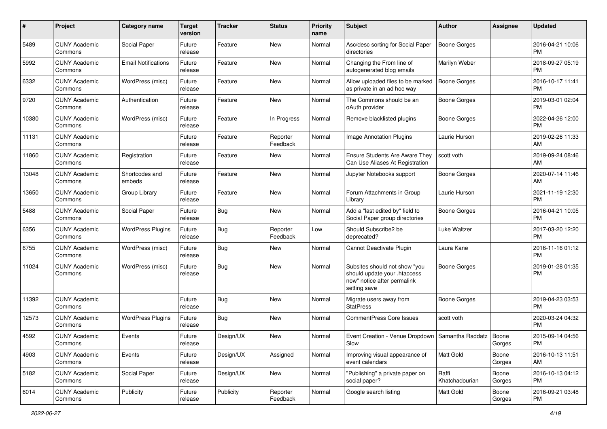| #     | Project                         | <b>Category name</b>       | <b>Target</b><br>version | <b>Tracker</b> | <b>Status</b>        | <b>Priority</b><br>name | Subject                                                                                                      | Author                  | <b>Assignee</b> | <b>Updated</b>                |
|-------|---------------------------------|----------------------------|--------------------------|----------------|----------------------|-------------------------|--------------------------------------------------------------------------------------------------------------|-------------------------|-----------------|-------------------------------|
| 5489  | <b>CUNY Academic</b><br>Commons | Social Paper               | Future<br>release        | Feature        | <b>New</b>           | Normal                  | Asc/desc sorting for Social Paper<br>directories                                                             | <b>Boone Gorges</b>     |                 | 2016-04-21 10:06<br><b>PM</b> |
| 5992  | <b>CUNY Academic</b><br>Commons | <b>Email Notifications</b> | Future<br>release        | Feature        | New                  | Normal                  | Changing the From line of<br>autogenerated blog emails                                                       | Marilyn Weber           |                 | 2018-09-27 05:19<br><b>PM</b> |
| 6332  | <b>CUNY Academic</b><br>Commons | WordPress (misc)           | Future<br>release        | Feature        | New                  | Normal                  | Allow uploaded files to be marked<br>as private in an ad hoc way                                             | <b>Boone Gorges</b>     |                 | 2016-10-17 11:41<br><b>PM</b> |
| 9720  | <b>CUNY Academic</b><br>Commons | Authentication             | Future<br>release        | Feature        | <b>New</b>           | Normal                  | The Commons should be an<br>oAuth provider                                                                   | Boone Gorges            |                 | 2019-03-01 02:04<br><b>PM</b> |
| 10380 | <b>CUNY Academic</b><br>Commons | WordPress (misc)           | Future<br>release        | Feature        | In Progress          | Normal                  | Remove blacklisted plugins                                                                                   | Boone Gorges            |                 | 2022-04-26 12:00<br><b>PM</b> |
| 11131 | <b>CUNY Academic</b><br>Commons |                            | Future<br>release        | Feature        | Reporter<br>Feedback | Normal                  | Image Annotation Plugins                                                                                     | Laurie Hurson           |                 | 2019-02-26 11:33<br>AM        |
| 11860 | <b>CUNY Academic</b><br>Commons | Registration               | Future<br>release        | Feature        | New                  | Normal                  | Ensure Students Are Aware They<br>Can Use Aliases At Registration                                            | scott voth              |                 | 2019-09-24 08:46<br>AM        |
| 13048 | <b>CUNY Academic</b><br>Commons | Shortcodes and<br>embeds   | Future<br>release        | Feature        | New                  | Normal                  | Jupyter Notebooks support                                                                                    | Boone Gorges            |                 | 2020-07-14 11:46<br>AM        |
| 13650 | <b>CUNY Academic</b><br>Commons | Group Library              | Future<br>release        | Feature        | New                  | Normal                  | Forum Attachments in Group<br>Library                                                                        | Laurie Hurson           |                 | 2021-11-19 12:30<br><b>PM</b> |
| 5488  | <b>CUNY Academic</b><br>Commons | Social Paper               | Future<br>release        | Bug            | New                  | Normal                  | Add a "last edited by" field to<br>Social Paper group directories                                            | Boone Gorges            |                 | 2016-04-21 10:05<br><b>PM</b> |
| 6356  | <b>CUNY Academic</b><br>Commons | <b>WordPress Plugins</b>   | Future<br>release        | Bug            | Reporter<br>Feedback | Low                     | Should Subscribe2 be<br>deprecated?                                                                          | Luke Waltzer            |                 | 2017-03-20 12:20<br><b>PM</b> |
| 6755  | <b>CUNY Academic</b><br>Commons | WordPress (misc)           | Future<br>release        | <b>Bug</b>     | New                  | Normal                  | Cannot Deactivate Plugin                                                                                     | Laura Kane              |                 | 2016-11-16 01:12<br><b>PM</b> |
| 11024 | <b>CUNY Academic</b><br>Commons | WordPress (misc)           | Future<br>release        | Bug            | New                  | Normal                  | Subsites should not show "you<br>should update your .htaccess<br>now" notice after permalink<br>setting save | <b>Boone Gorges</b>     |                 | 2019-01-28 01:35<br><b>PM</b> |
| 11392 | <b>CUNY Academic</b><br>Commons |                            | Future<br>release        | <b>Bug</b>     | <b>New</b>           | Normal                  | Migrate users away from<br><b>StatPress</b>                                                                  | <b>Boone Gorges</b>     |                 | 2019-04-23 03:53<br><b>PM</b> |
| 12573 | <b>CUNY Academic</b><br>Commons | <b>WordPress Plugins</b>   | Future<br>release        | Bug            | New                  | Normal                  | <b>CommentPress Core Issues</b>                                                                              | scott voth              |                 | 2020-03-24 04:32<br><b>PM</b> |
| 4592  | <b>CUNY Academic</b><br>Commons | Events                     | Future<br>release        | Design/UX      | New                  | Normal                  | Event Creation - Venue Dropdown   Samantha Raddatz<br>Slow                                                   |                         | Boone<br>Gorges | 2015-09-14 04:56<br><b>PM</b> |
| 4903  | <b>CUNY Academic</b><br>Commons | Events                     | Future<br>release        | Design/UX      | Assigned             | Normal                  | Improving visual appearance of<br>event calendars                                                            | Matt Gold               | Boone<br>Gorges | 2016-10-13 11:51<br>AM        |
| 5182  | <b>CUNY Academic</b><br>Commons | Social Paper               | Future<br>release        | Design/UX      | New                  | Normal                  | "Publishing" a private paper on<br>social paper?                                                             | Raffi<br>Khatchadourian | Boone<br>Gorges | 2016-10-13 04:12<br><b>PM</b> |
| 6014  | <b>CUNY Academic</b><br>Commons | Publicity                  | Future<br>release        | Publicity      | Reporter<br>Feedback | Normal                  | Google search listing                                                                                        | Matt Gold               | Boone<br>Gorges | 2016-09-21 03:48<br><b>PM</b> |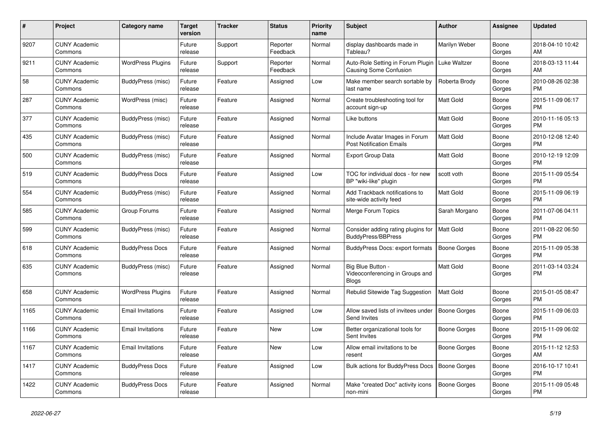| #    | <b>Project</b>                  | <b>Category name</b>     | Target<br>version | <b>Tracker</b> | <b>Status</b>        | <b>Priority</b><br>name | <b>Subject</b>                                                       | <b>Author</b>       | Assignee        | <b>Updated</b>                |
|------|---------------------------------|--------------------------|-------------------|----------------|----------------------|-------------------------|----------------------------------------------------------------------|---------------------|-----------------|-------------------------------|
| 9207 | <b>CUNY Academic</b><br>Commons |                          | Future<br>release | Support        | Reporter<br>Feedback | Normal                  | display dashboards made in<br>Tableau?                               | Marilyn Weber       | Boone<br>Gorges | 2018-04-10 10:42<br>AM        |
| 9211 | <b>CUNY Academic</b><br>Commons | <b>WordPress Plugins</b> | Future<br>release | Support        | Reporter<br>Feedback | Normal                  | Auto-Role Setting in Forum Plugin<br><b>Causing Some Confusion</b>   | Luke Waltzer        | Boone<br>Gorges | 2018-03-13 11:44<br>AM        |
| 58   | <b>CUNY Academic</b><br>Commons | BuddyPress (misc)        | Future<br>release | Feature        | Assigned             | Low                     | Make member search sortable by<br>last name                          | Roberta Brody       | Boone<br>Gorges | 2010-08-26 02:38<br><b>PM</b> |
| 287  | <b>CUNY Academic</b><br>Commons | WordPress (misc)         | Future<br>release | Feature        | Assigned             | Normal                  | Create troubleshooting tool for<br>account sign-up                   | <b>Matt Gold</b>    | Boone<br>Gorges | 2015-11-09 06:17<br><b>PM</b> |
| 377  | <b>CUNY Academic</b><br>Commons | BuddyPress (misc)        | Future<br>release | Feature        | Assigned             | Normal                  | Like buttons                                                         | <b>Matt Gold</b>    | Boone<br>Gorges | 2010-11-16 05:13<br><b>PM</b> |
| 435  | <b>CUNY Academic</b><br>Commons | BuddyPress (misc)        | Future<br>release | Feature        | Assigned             | Normal                  | Include Avatar Images in Forum<br><b>Post Notification Emails</b>    | Matt Gold           | Boone<br>Gorges | 2010-12-08 12:40<br><b>PM</b> |
| 500  | <b>CUNY Academic</b><br>Commons | BuddyPress (misc)        | Future<br>release | Feature        | Assigned             | Normal                  | <b>Export Group Data</b>                                             | Matt Gold           | Boone<br>Gorges | 2010-12-19 12:09<br><b>PM</b> |
| 519  | <b>CUNY Academic</b><br>Commons | <b>BuddyPress Docs</b>   | Future<br>release | Feature        | Assigned             | Low                     | TOC for individual docs - for new<br>BP "wiki-like" plugin           | scott voth          | Boone<br>Gorges | 2015-11-09 05:54<br>PM        |
| 554  | <b>CUNY Academic</b><br>Commons | BuddyPress (misc)        | Future<br>release | Feature        | Assigned             | Normal                  | Add Trackback notifications to<br>site-wide activity feed            | Matt Gold           | Boone<br>Gorges | 2015-11-09 06:19<br><b>PM</b> |
| 585  | <b>CUNY Academic</b><br>Commons | Group Forums             | Future<br>release | Feature        | Assigned             | Normal                  | Merge Forum Topics                                                   | Sarah Morgano       | Boone<br>Gorges | 2011-07-06 04:11<br><b>PM</b> |
| 599  | <b>CUNY Academic</b><br>Commons | BuddyPress (misc)        | Future<br>release | Feature        | Assigned             | Normal                  | Consider adding rating plugins for<br><b>BuddyPress/BBPress</b>      | <b>Matt Gold</b>    | Boone<br>Gorges | 2011-08-22 06:50<br><b>PM</b> |
| 618  | <b>CUNY Academic</b><br>Commons | <b>BuddyPress Docs</b>   | Future<br>release | Feature        | Assigned             | Normal                  | BuddyPress Docs: export formats                                      | <b>Boone Gorges</b> | Boone<br>Gorges | 2015-11-09 05:38<br><b>PM</b> |
| 635  | <b>CUNY Academic</b><br>Commons | BuddyPress (misc)        | Future<br>release | Feature        | Assigned             | Normal                  | Big Blue Button -<br>Videoconferencing in Groups and<br><b>Blogs</b> | Matt Gold           | Boone<br>Gorges | 2011-03-14 03:24<br><b>PM</b> |
| 658  | <b>CUNY Academic</b><br>Commons | <b>WordPress Plugins</b> | Future<br>release | Feature        | Assigned             | Normal                  | Rebulid Sitewide Tag Suggestion                                      | <b>Matt Gold</b>    | Boone<br>Gorges | 2015-01-05 08:47<br><b>PM</b> |
| 1165 | <b>CUNY Academic</b><br>Commons | <b>Email Invitations</b> | Future<br>release | Feature        | Assigned             | Low                     | Allow saved lists of invitees under<br><b>Send Invites</b>           | <b>Boone Gorges</b> | Boone<br>Gorges | 2015-11-09 06:03<br><b>PM</b> |
| 1166 | <b>CUNY Academic</b><br>Commons | <b>Email Invitations</b> | Future<br>release | Feature        | <b>New</b>           | Low                     | Better organizational tools for<br>Sent Invites                      | Boone Gorges        | Boone<br>Gorges | 2015-11-09 06:02<br><b>PM</b> |
| 1167 | <b>CUNY Academic</b><br>Commons | <b>Email Invitations</b> | Future<br>release | Feature        | <b>New</b>           | Low                     | Allow email invitations to be<br>resent                              | Boone Gorges        | Boone<br>Gorges | 2015-11-12 12:53<br>AM        |
| 1417 | <b>CUNY Academic</b><br>Commons | <b>BuddyPress Docs</b>   | Future<br>release | Feature        | Assigned             | Low                     | Bulk actions for BuddyPress Docs                                     | Boone Gorges        | Boone<br>Gorges | 2016-10-17 10:41<br><b>PM</b> |
| 1422 | <b>CUNY Academic</b><br>Commons | <b>BuddyPress Docs</b>   | Future<br>release | Feature        | Assigned             | Normal                  | Make "created Doc" activity icons<br>non-mini                        | <b>Boone Gorges</b> | Boone<br>Gorges | 2015-11-09 05:48<br><b>PM</b> |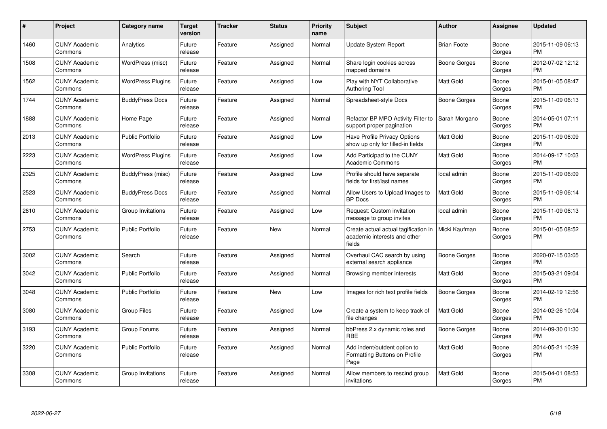| #    | Project                         | <b>Category name</b>     | Target<br>version | <b>Tracker</b> | <b>Status</b> | <b>Priority</b><br>name | <b>Subject</b>                                                                 | <b>Author</b>      | <b>Assignee</b> | <b>Updated</b>                |
|------|---------------------------------|--------------------------|-------------------|----------------|---------------|-------------------------|--------------------------------------------------------------------------------|--------------------|-----------------|-------------------------------|
| 1460 | <b>CUNY Academic</b><br>Commons | Analytics                | Future<br>release | Feature        | Assigned      | Normal                  | Update System Report                                                           | <b>Brian Foote</b> | Boone<br>Gorges | 2015-11-09 06:13<br><b>PM</b> |
| 1508 | <b>CUNY Academic</b><br>Commons | WordPress (misc)         | Future<br>release | Feature        | Assigned      | Normal                  | Share login cookies across<br>mapped domains                                   | Boone Gorges       | Boone<br>Gorges | 2012-07-02 12:12<br><b>PM</b> |
| 1562 | <b>CUNY Academic</b><br>Commons | <b>WordPress Plugins</b> | Future<br>release | Feature        | Assigned      | Low                     | Play with NYT Collaborative<br><b>Authoring Tool</b>                           | Matt Gold          | Boone<br>Gorges | 2015-01-05 08:47<br><b>PM</b> |
| 1744 | <b>CUNY Academic</b><br>Commons | <b>BuddyPress Docs</b>   | Future<br>release | Feature        | Assigned      | Normal                  | Spreadsheet-style Docs                                                         | Boone Gorges       | Boone<br>Gorges | 2015-11-09 06:13<br><b>PM</b> |
| 1888 | <b>CUNY Academic</b><br>Commons | Home Page                | Future<br>release | Feature        | Assigned      | Normal                  | Refactor BP MPO Activity Filter to<br>support proper pagination                | Sarah Morgano      | Boone<br>Gorges | 2014-05-01 07:11<br><b>PM</b> |
| 2013 | <b>CUNY Academic</b><br>Commons | <b>Public Portfolio</b>  | Future<br>release | Feature        | Assigned      | Low                     | <b>Have Profile Privacy Options</b><br>show up only for filled-in fields       | Matt Gold          | Boone<br>Gorges | 2015-11-09 06:09<br><b>PM</b> |
| 2223 | <b>CUNY Academic</b><br>Commons | <b>WordPress Plugins</b> | Future<br>release | Feature        | Assigned      | Low                     | Add Participad to the CUNY<br><b>Academic Commons</b>                          | Matt Gold          | Boone<br>Gorges | 2014-09-17 10:03<br><b>PM</b> |
| 2325 | <b>CUNY Academic</b><br>Commons | BuddyPress (misc)        | Future<br>release | Feature        | Assigned      | Low                     | Profile should have separate<br>fields for first/last names                    | local admin        | Boone<br>Gorges | 2015-11-09 06:09<br><b>PM</b> |
| 2523 | <b>CUNY Academic</b><br>Commons | <b>BuddyPress Docs</b>   | Future<br>release | Feature        | Assigned      | Normal                  | Allow Users to Upload Images to<br><b>BP</b> Docs                              | Matt Gold          | Boone<br>Gorges | 2015-11-09 06:14<br><b>PM</b> |
| 2610 | <b>CUNY Academic</b><br>Commons | Group Invitations        | Future<br>release | Feature        | Assigned      | Low                     | Request: Custom invitation<br>message to group invites                         | local admin        | Boone<br>Gorges | 2015-11-09 06:13<br><b>PM</b> |
| 2753 | <b>CUNY Academic</b><br>Commons | <b>Public Portfolio</b>  | Future<br>release | Feature        | <b>New</b>    | Normal                  | Create actual actual tagification in<br>academic interests and other<br>fields | Micki Kaufman      | Boone<br>Gorges | 2015-01-05 08:52<br><b>PM</b> |
| 3002 | <b>CUNY Academic</b><br>Commons | Search                   | Future<br>release | Feature        | Assigned      | Normal                  | Overhaul CAC search by using<br>external search appliance                      | Boone Gorges       | Boone<br>Gorges | 2020-07-15 03:05<br><b>PM</b> |
| 3042 | <b>CUNY Academic</b><br>Commons | <b>Public Portfolio</b>  | Future<br>release | Feature        | Assigned      | Normal                  | Browsing member interests                                                      | <b>Matt Gold</b>   | Boone<br>Gorges | 2015-03-21 09:04<br><b>PM</b> |
| 3048 | <b>CUNY Academic</b><br>Commons | Public Portfolio         | Future<br>release | Feature        | <b>New</b>    | Low                     | Images for rich text profile fields                                            | Boone Gorges       | Boone<br>Gorges | 2014-02-19 12:56<br><b>PM</b> |
| 3080 | <b>CUNY Academic</b><br>Commons | <b>Group Files</b>       | Future<br>release | Feature        | Assigned      | Low                     | Create a system to keep track of<br>file changes                               | <b>Matt Gold</b>   | Boone<br>Gorges | 2014-02-26 10:04<br><b>PM</b> |
| 3193 | <b>CUNY Academic</b><br>Commons | Group Forums             | Future<br>release | Feature        | Assigned      | Normal                  | bbPress 2.x dynamic roles and<br><b>RBE</b>                                    | Boone Gorges       | Boone<br>Gorges | 2014-09-30 01:30<br><b>PM</b> |
| 3220 | <b>CUNY Academic</b><br>Commons | <b>Public Portfolio</b>  | Future<br>release | Feature        | Assigned      | Normal                  | Add indent/outdent option to<br>Formatting Buttons on Profile<br>Page          | Matt Gold          | Boone<br>Gorges | 2014-05-21 10:39<br><b>PM</b> |
| 3308 | CUNY Academic<br>Commons        | Group Invitations        | Future<br>release | Feature        | Assigned      | Normal                  | Allow members to rescind group<br>invitations                                  | Matt Gold          | Boone<br>Gorges | 2015-04-01 08:53<br><b>PM</b> |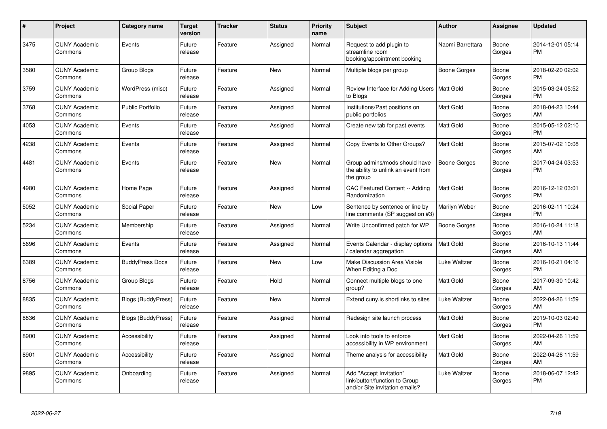| #    | Project                         | <b>Category name</b>      | <b>Target</b><br>version | <b>Tracker</b> | <b>Status</b> | <b>Priority</b><br>name | <b>Subject</b>                                                                             | <b>Author</b>       | Assignee        | <b>Updated</b>                |
|------|---------------------------------|---------------------------|--------------------------|----------------|---------------|-------------------------|--------------------------------------------------------------------------------------------|---------------------|-----------------|-------------------------------|
| 3475 | <b>CUNY Academic</b><br>Commons | Events                    | Future<br>release        | Feature        | Assigned      | Normal                  | Request to add plugin to<br>streamline room<br>booking/appointment booking                 | Naomi Barrettara    | Boone<br>Gorges | 2014-12-01 05:14<br><b>PM</b> |
| 3580 | <b>CUNY Academic</b><br>Commons | Group Blogs               | Future<br>release        | Feature        | <b>New</b>    | Normal                  | Multiple blogs per group                                                                   | Boone Gorges        | Boone<br>Gorges | 2018-02-20 02:02<br><b>PM</b> |
| 3759 | <b>CUNY Academic</b><br>Commons | WordPress (misc)          | Future<br>release        | Feature        | Assigned      | Normal                  | Review Interface for Adding Users   Matt Gold<br>to Blogs                                  |                     | Boone<br>Gorges | 2015-03-24 05:52<br><b>PM</b> |
| 3768 | <b>CUNY Academic</b><br>Commons | <b>Public Portfolio</b>   | Future<br>release        | Feature        | Assigned      | Normal                  | Institutions/Past positions on<br>public portfolios                                        | Matt Gold           | Boone<br>Gorges | 2018-04-23 10:44<br>AM        |
| 4053 | <b>CUNY Academic</b><br>Commons | Events                    | Future<br>release        | Feature        | Assigned      | Normal                  | Create new tab for past events                                                             | Matt Gold           | Boone<br>Gorges | 2015-05-12 02:10<br><b>PM</b> |
| 4238 | <b>CUNY Academic</b><br>Commons | Events                    | Future<br>release        | Feature        | Assigned      | Normal                  | Copy Events to Other Groups?                                                               | <b>Matt Gold</b>    | Boone<br>Gorges | 2015-07-02 10:08<br>AM        |
| 4481 | <b>CUNY Academic</b><br>Commons | Events                    | Future<br>release        | Feature        | <b>New</b>    | Normal                  | Group admins/mods should have<br>the ability to unlink an event from<br>the group          | <b>Boone Gorges</b> | Boone<br>Gorges | 2017-04-24 03:53<br><b>PM</b> |
| 4980 | <b>CUNY Academic</b><br>Commons | Home Page                 | Future<br>release        | Feature        | Assigned      | Normal                  | CAC Featured Content -- Adding<br>Randomization                                            | Matt Gold           | Boone<br>Gorges | 2016-12-12 03:01<br><b>PM</b> |
| 5052 | <b>CUNY Academic</b><br>Commons | Social Paper              | Future<br>release        | Feature        | <b>New</b>    | Low                     | Sentence by sentence or line by<br>line comments (SP suggestion #3)                        | Marilyn Weber       | Boone<br>Gorges | 2016-02-11 10:24<br><b>PM</b> |
| 5234 | <b>CUNY Academic</b><br>Commons | Membership                | Future<br>release        | Feature        | Assigned      | Normal                  | Write Unconfirmed patch for WP                                                             | <b>Boone Gorges</b> | Boone<br>Gorges | 2016-10-24 11:18<br>AM        |
| 5696 | <b>CUNY Academic</b><br>Commons | Events                    | Future<br>release        | Feature        | Assigned      | Normal                  | Events Calendar - display options<br>calendar aggregation                                  | <b>Matt Gold</b>    | Boone<br>Gorges | 2016-10-13 11:44<br>AM        |
| 6389 | <b>CUNY Academic</b><br>Commons | <b>BuddyPress Docs</b>    | Future<br>release        | Feature        | <b>New</b>    | Low                     | Make Discussion Area Visible<br>When Editing a Doc                                         | Luke Waltzer        | Boone<br>Gorges | 2016-10-21 04:16<br><b>PM</b> |
| 8756 | <b>CUNY Academic</b><br>Commons | Group Blogs               | Future<br>release        | Feature        | Hold          | Normal                  | Connect multiple blogs to one<br>group?                                                    | <b>Matt Gold</b>    | Boone<br>Gorges | 2017-09-30 10:42<br>AM        |
| 8835 | <b>CUNY Academic</b><br>Commons | Blogs (BuddyPress)        | Future<br>release        | Feature        | <b>New</b>    | Normal                  | Extend cuny.is shortlinks to sites                                                         | Luke Waltzer        | Boone<br>Gorges | 2022-04-26 11:59<br>AM        |
| 8836 | <b>CUNY Academic</b><br>Commons | <b>Blogs (BuddyPress)</b> | Future<br>release        | Feature        | Assigned      | Normal                  | Redesign site launch process                                                               | Matt Gold           | Boone<br>Gorges | 2019-10-03 02:49<br><b>PM</b> |
| 8900 | <b>CUNY Academic</b><br>Commons | Accessibility             | Future<br>release        | Feature        | Assigned      | Normal                  | Look into tools to enforce<br>accessibility in WP environment                              | Matt Gold           | Boone<br>Gorges | 2022-04-26 11:59<br>AM        |
| 8901 | <b>CUNY Academic</b><br>Commons | Accessibility             | Future<br>release        | Feature        | Assigned      | Normal                  | Theme analysis for accessibility                                                           | Matt Gold           | Boone<br>Gorges | 2022-04-26 11:59<br>AM        |
| 9895 | <b>CUNY Academic</b><br>Commons | Onboarding                | Future<br>release        | Feature        | Assigned      | Normal                  | Add "Accept Invitation"<br>link/button/function to Group<br>and/or Site invitation emails? | Luke Waltzer        | Boone<br>Gorges | 2018-06-07 12:42<br><b>PM</b> |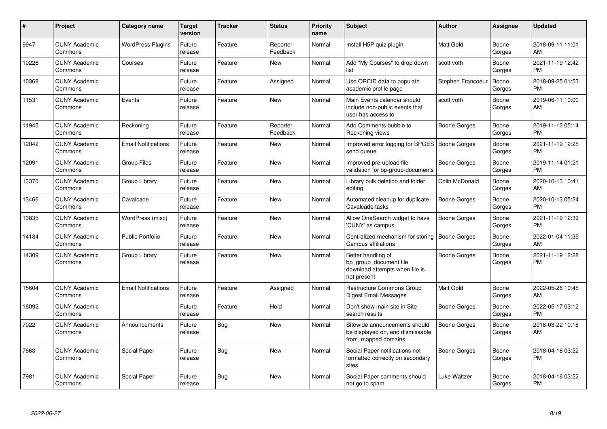| #     | Project                         | <b>Category name</b>       | <b>Target</b><br>version | <b>Tracker</b> | <b>Status</b>        | <b>Priority</b><br>name | <b>Subject</b>                                                                                | <b>Author</b>       | Assignee        | <b>Updated</b>                |
|-------|---------------------------------|----------------------------|--------------------------|----------------|----------------------|-------------------------|-----------------------------------------------------------------------------------------------|---------------------|-----------------|-------------------------------|
| 9947  | <b>CUNY Academic</b><br>Commons | <b>WordPress Plugins</b>   | Future<br>release        | Feature        | Reporter<br>Feedback | Normal                  | Install H5P quiz plugin                                                                       | Matt Gold           | Boone<br>Gorges | 2018-09-11 11:01<br>AM        |
| 10226 | <b>CUNY Academic</b><br>Commons | Courses                    | Future<br>release        | Feature        | New                  | Normal                  | Add "My Courses" to drop down<br>list                                                         | scott voth          | Boone<br>Gorges | 2021-11-19 12:42<br><b>PM</b> |
| 10368 | <b>CUNY Academic</b><br>Commons |                            | Future<br>release        | Feature        | Assigned             | Normal                  | Use ORCID data to populate<br>academic profile page                                           | Stephen Francoeur   | Boone<br>Gorges | 2018-09-25 01:53<br><b>PM</b> |
| 11531 | <b>CUNY Academic</b><br>Commons | Events                     | Future<br>release        | Feature        | New                  | Normal                  | Main Events calendar should<br>include non-public events that<br>user has access to           | scott voth          | Boone<br>Gorges | 2019-06-11 10:00<br>AM        |
| 11945 | <b>CUNY Academic</b><br>Commons | Reckoning                  | Future<br>release        | Feature        | Reporter<br>Feedback | Normal                  | Add Comments bubble to<br>Reckoning views                                                     | <b>Boone Gorges</b> | Boone<br>Gorges | 2019-11-12 05:14<br><b>PM</b> |
| 12042 | <b>CUNY Academic</b><br>Commons | <b>Email Notifications</b> | Future<br>release        | Feature        | New                  | Normal                  | Improved error logging for BPGES   Boone Gorges<br>send queue                                 |                     | Boone<br>Gorges | 2021-11-19 12:25<br><b>PM</b> |
| 12091 | <b>CUNY Academic</b><br>Commons | <b>Group Files</b>         | Future<br>release        | Feature        | New                  | Normal                  | Improved pre-upload file<br>validation for bp-group-documents                                 | <b>Boone Gorges</b> | Boone<br>Gorges | 2019-11-14 01:21<br><b>PM</b> |
| 13370 | <b>CUNY Academic</b><br>Commons | Group Library              | Future<br>release        | Feature        | New                  | Normal                  | Library bulk deletion and folder<br>editing                                                   | Colin McDonald      | Boone<br>Gorges | 2020-10-13 10:41<br>AM        |
| 13466 | <b>CUNY Academic</b><br>Commons | Cavalcade                  | Future<br>release        | Feature        | New                  | Normal                  | Automated cleanup for duplicate<br>Cavalcade tasks                                            | <b>Boone Gorges</b> | Boone<br>Gorges | 2020-10-13 05:24<br>PM        |
| 13835 | <b>CUNY Academic</b><br>Commons | WordPress (misc)           | Future<br>release        | Feature        | New                  | Normal                  | Allow OneSearch widget to have<br>'CUNY' as campus                                            | <b>Boone Gorges</b> | Boone<br>Gorges | 2021-11-19 12:39<br><b>PM</b> |
| 14184 | <b>CUNY Academic</b><br>Commons | <b>Public Portfolio</b>    | Future<br>release        | Feature        | <b>New</b>           | Normal                  | Centralized mechanism for storing<br>Campus affiliations                                      | <b>Boone Gorges</b> | Boone<br>Gorges | 2022-01-04 11:35<br>AM        |
| 14309 | <b>CUNY Academic</b><br>Commons | Group Library              | Future<br>release        | Feature        | New                  | Normal                  | Better handling of<br>bp group document file<br>download attempts when file is<br>not present | <b>Boone Gorges</b> | Boone<br>Gorges | 2021-11-19 12:28<br><b>PM</b> |
| 15604 | <b>CUNY Academic</b><br>Commons | <b>Email Notifications</b> | Future<br>release        | Feature        | Assigned             | Normal                  | <b>Restructure Commons Group</b><br>Digest Email Messages                                     | Matt Gold           | Boone<br>Gorges | 2022-05-26 10:45<br>AM        |
| 16092 | <b>CUNY Academic</b><br>Commons |                            | Future<br>release        | Feature        | Hold                 | Normal                  | Don't show main site in Site<br>search results                                                | <b>Boone Gorges</b> | Boone<br>Gorges | 2022-05-17 03:12<br><b>PM</b> |
| 7022  | <b>CUNY Academic</b><br>Commons | Announcements              | Future<br>release        | <b>Bug</b>     | <b>New</b>           | Normal                  | Sitewide announcements should<br>be displayed on, and dismissable<br>from, mapped domains     | Boone Gorges        | Boone<br>Gorges | 2018-03-22 10:18<br>AM        |
| 7663  | <b>CUNY Academic</b><br>Commons | Social Paper               | Future<br>release        | Bug            | New                  | Normal                  | Social Paper notifications not<br>formatted correctly on secondary<br>sites                   | <b>Boone Gorges</b> | Boone<br>Gorges | 2018-04-16 03:52<br><b>PM</b> |
| 7981  | <b>CUNY Academic</b><br>Commons | Social Paper               | Future<br>release        | Bug            | <b>New</b>           | Normal                  | Social Paper comments should<br>not go to spam                                                | Luke Waltzer        | Boone<br>Gorges | 2018-04-16 03:52<br><b>PM</b> |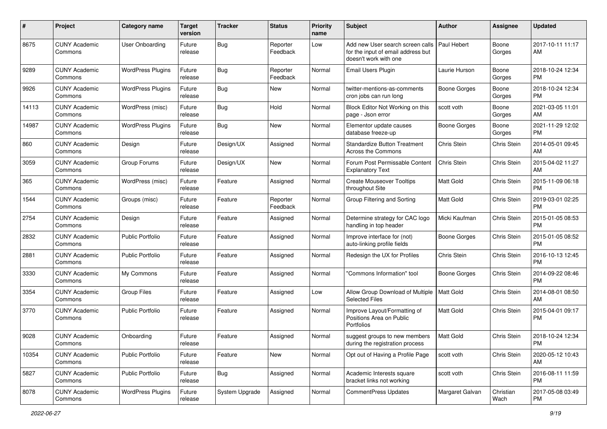| #     | Project                         | <b>Category name</b>     | <b>Target</b><br>version | <b>Tracker</b> | <b>Status</b>        | <b>Priority</b><br>name | Subject                                                                                         | Author              | <b>Assignee</b>   | <b>Updated</b>                |
|-------|---------------------------------|--------------------------|--------------------------|----------------|----------------------|-------------------------|-------------------------------------------------------------------------------------------------|---------------------|-------------------|-------------------------------|
| 8675  | <b>CUNY Academic</b><br>Commons | <b>User Onboarding</b>   | Future<br>release        | Bug            | Reporter<br>Feedback | Low                     | Add new User search screen calls<br>for the input of email address but<br>doesn't work with one | Paul Hebert         | Boone<br>Gorges   | 2017-10-11 11:17<br>AM        |
| 9289  | <b>CUNY Academic</b><br>Commons | <b>WordPress Plugins</b> | Future<br>release        | Bug            | Reporter<br>Feedback | Normal                  | <b>Email Users Plugin</b>                                                                       | Laurie Hurson       | Boone<br>Gorges   | 2018-10-24 12:34<br><b>PM</b> |
| 9926  | <b>CUNY Academic</b><br>Commons | <b>WordPress Plugins</b> | Future<br>release        | Bug            | New                  | Normal                  | twitter-mentions-as-comments<br>cron jobs can run long                                          | <b>Boone Gorges</b> | Boone<br>Gorges   | 2018-10-24 12:34<br><b>PM</b> |
| 14113 | <b>CUNY Academic</b><br>Commons | WordPress (misc)         | Future<br>release        | <b>Bug</b>     | Hold                 | Normal                  | Block Editor Not Working on this<br>page - Json error                                           | scott voth          | Boone<br>Gorges   | 2021-03-05 11:01<br>AM        |
| 14987 | <b>CUNY Academic</b><br>Commons | <b>WordPress Plugins</b> | Future<br>release        | Bug            | New                  | Normal                  | Elementor update causes<br>database freeze-up                                                   | Boone Gorges        | Boone<br>Gorges   | 2021-11-29 12:02<br><b>PM</b> |
| 860   | <b>CUNY Academic</b><br>Commons | Design                   | Future<br>release        | Design/UX      | Assigned             | Normal                  | <b>Standardize Button Treatment</b><br>Across the Commons                                       | Chris Stein         | Chris Stein       | 2014-05-01 09:45<br>AM        |
| 3059  | <b>CUNY Academic</b><br>Commons | Group Forums             | Future<br>release        | Design/UX      | New                  | Normal                  | Forum Post Permissable Content<br><b>Explanatory Text</b>                                       | Chris Stein         | Chris Stein       | 2015-04-02 11:27<br>AM        |
| 365   | <b>CUNY Academic</b><br>Commons | WordPress (misc)         | Future<br>release        | Feature        | Assigned             | Normal                  | <b>Create Mouseover Tooltips</b><br>throughout Site                                             | Matt Gold           | Chris Stein       | 2015-11-09 06:18<br><b>PM</b> |
| 1544  | <b>CUNY Academic</b><br>Commons | Groups (misc)            | Future<br>release        | Feature        | Reporter<br>Feedback | Normal                  | Group Filtering and Sorting                                                                     | <b>Matt Gold</b>    | Chris Stein       | 2019-03-01 02:25<br><b>PM</b> |
| 2754  | <b>CUNY Academic</b><br>Commons | Design                   | Future<br>release        | Feature        | Assigned             | Normal                  | Determine strategy for CAC logo<br>handling in top header                                       | Micki Kaufman       | Chris Stein       | 2015-01-05 08:53<br><b>PM</b> |
| 2832  | <b>CUNY Academic</b><br>Commons | <b>Public Portfolio</b>  | Future<br>release        | Feature        | Assigned             | Normal                  | Improve interface for (not)<br>auto-linking profile fields                                      | Boone Gorges        | Chris Stein       | 2015-01-05 08:52<br><b>PM</b> |
| 2881  | <b>CUNY Academic</b><br>Commons | <b>Public Portfolio</b>  | Future<br>release        | Feature        | Assigned             | Normal                  | Redesign the UX for Profiles                                                                    | Chris Stein         | Chris Stein       | 2016-10-13 12:45<br><b>PM</b> |
| 3330  | <b>CUNY Academic</b><br>Commons | My Commons               | Future<br>release        | Feature        | Assigned             | Normal                  | 'Commons Information" tool                                                                      | Boone Gorges        | Chris Stein       | 2014-09-22 08:46<br><b>PM</b> |
| 3354  | <b>CUNY Academic</b><br>Commons | <b>Group Files</b>       | Future<br>release        | Feature        | Assigned             | Low                     | Allow Group Download of Multiple   Matt Gold<br><b>Selected Files</b>                           |                     | Chris Stein       | 2014-08-01 08:50<br>AM        |
| 3770  | <b>CUNY Academic</b><br>Commons | <b>Public Portfolio</b>  | Future<br>release        | Feature        | Assigned             | Normal                  | Improve Layout/Formatting of<br>Positions Area on Public<br>Portfolios                          | <b>Matt Gold</b>    | Chris Stein       | 2015-04-01 09:17<br><b>PM</b> |
| 9028  | <b>CUNY Academic</b><br>Commons | Onboarding               | Future<br>release        | Feature        | Assigned             | Normal                  | suggest groups to new members<br>during the registration process                                | <b>Matt Gold</b>    | Chris Stein       | 2018-10-24 12:34<br>PM        |
| 10354 | <b>CUNY Academic</b><br>Commons | <b>Public Portfolio</b>  | Future<br>release        | Feature        | New                  | Normal                  | Opt out of Having a Profile Page                                                                | scott voth          | Chris Stein       | 2020-05-12 10:43<br>AM        |
| 5827  | <b>CUNY Academic</b><br>Commons | <b>Public Portfolio</b>  | Future<br>release        | <b>Bug</b>     | Assigned             | Normal                  | Academic Interests square<br>bracket links not working                                          | scott voth          | Chris Stein       | 2016-08-11 11:59<br><b>PM</b> |
| 8078  | <b>CUNY Academic</b><br>Commons | <b>WordPress Plugins</b> | Future<br>release        | System Upgrade | Assigned             | Normal                  | CommentPress Updates                                                                            | Margaret Galvan     | Christian<br>Wach | 2017-05-08 03:49<br><b>PM</b> |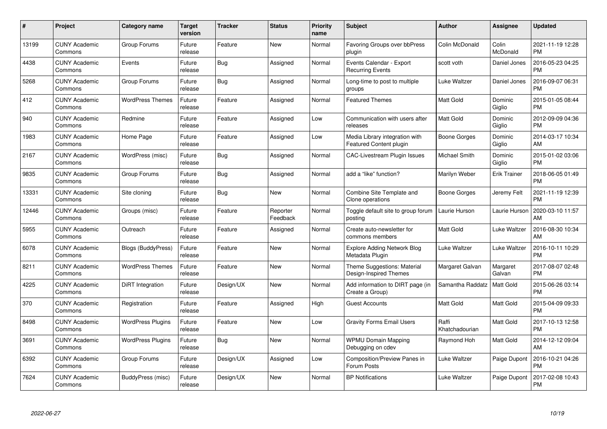| $\#$  | Project                         | <b>Category name</b>     | <b>Target</b><br>version | <b>Tracker</b> | <b>Status</b>        | <b>Priority</b><br>name | <b>Subject</b>                                            | Author                  | <b>Assignee</b>     | <b>Updated</b>                |
|-------|---------------------------------|--------------------------|--------------------------|----------------|----------------------|-------------------------|-----------------------------------------------------------|-------------------------|---------------------|-------------------------------|
| 13199 | <b>CUNY Academic</b><br>Commons | Group Forums             | Future<br>release        | Feature        | <b>New</b>           | Normal                  | Favoring Groups over bbPress<br>plugin                    | Colin McDonald          | Colin<br>McDonald   | 2021-11-19 12:28<br><b>PM</b> |
| 4438  | <b>CUNY Academic</b><br>Commons | Events                   | Future<br>release        | Bug            | Assigned             | Normal                  | Events Calendar - Export<br><b>Recurring Events</b>       | scott voth              | Daniel Jones        | 2016-05-23 04:25<br><b>PM</b> |
| 5268  | <b>CUNY Academic</b><br>Commons | Group Forums             | Future<br>release        | <b>Bug</b>     | Assigned             | Normal                  | Long-time to post to multiple<br>groups                   | Luke Waltzer            | Daniel Jones        | 2016-09-07 06:31<br><b>PM</b> |
| 412   | <b>CUNY Academic</b><br>Commons | <b>WordPress Themes</b>  | Future<br>release        | Feature        | Assigned             | Normal                  | <b>Featured Themes</b>                                    | <b>Matt Gold</b>        | Dominic<br>Giglio   | 2015-01-05 08:44<br><b>PM</b> |
| 940   | <b>CUNY Academic</b><br>Commons | Redmine                  | Future<br>release        | Feature        | Assigned             | Low                     | Communication with users after<br>releases                | <b>Matt Gold</b>        | Dominic<br>Giglio   | 2012-09-09 04:36<br><b>PM</b> |
| 1983  | <b>CUNY Academic</b><br>Commons | Home Page                | Future<br>release        | Feature        | Assigned             | Low                     | Media Library integration with<br>Featured Content plugin | Boone Gorges            | Dominic<br>Giglio   | 2014-03-17 10:34<br>AM        |
| 2167  | <b>CUNY Academic</b><br>Commons | WordPress (misc)         | Future<br>release        | Bug            | Assigned             | Normal                  | <b>CAC-Livestream Plugin Issues</b>                       | Michael Smith           | Dominic<br>Giglio   | 2015-01-02 03:06<br><b>PM</b> |
| 9835  | <b>CUNY Academic</b><br>Commons | Group Forums             | Future<br>release        | <b>Bug</b>     | Assigned             | Normal                  | add a "like" function?                                    | Marilyn Weber           | <b>Erik Trainer</b> | 2018-06-05 01:49<br><b>PM</b> |
| 13331 | <b>CUNY Academic</b><br>Commons | Site cloning             | Future<br>release        | <b>Bug</b>     | <b>New</b>           | Normal                  | Combine Site Template and<br>Clone operations             | Boone Gorges            | Jeremy Felt         | 2021-11-19 12:39<br><b>PM</b> |
| 12446 | <b>CUNY Academic</b><br>Commons | Groups (misc)            | Future<br>release        | Feature        | Reporter<br>Feedback | Normal                  | Toggle default site to group forum<br>posting             | Laurie Hurson           | Laurie Hurson       | 2020-03-10 11:57<br>AM        |
| 5955  | <b>CUNY Academic</b><br>Commons | Outreach                 | Future<br>release        | Feature        | Assigned             | Normal                  | Create auto-newsletter for<br>commons members             | Matt Gold               | Luke Waltzer        | 2016-08-30 10:34<br>AM        |
| 6078  | <b>CUNY Academic</b><br>Commons | Blogs (BuddyPress)       | Future<br>release        | Feature        | <b>New</b>           | Normal                  | <b>Explore Adding Network Blog</b><br>Metadata Plugin     | Luke Waltzer            | Luke Waltzer        | 2016-10-11 10:29<br><b>PM</b> |
| 8211  | <b>CUNY Academic</b><br>Commons | <b>WordPress Themes</b>  | Future<br>release        | Feature        | New                  | Normal                  | Theme Suggestions: Material<br>Design-Inspired Themes     | Margaret Galvan         | Margaret<br>Galvan  | 2017-08-07 02:48<br><b>PM</b> |
| 4225  | <b>CUNY Academic</b><br>Commons | DiRT Integration         | Future<br>release        | Design/UX      | <b>New</b>           | Normal                  | Add information to DIRT page (in<br>Create a Group)       | Samantha Raddatz        | Matt Gold           | 2015-06-26 03:14<br><b>PM</b> |
| 370   | <b>CUNY Academic</b><br>Commons | Registration             | Future<br>release        | Feature        | Assigned             | High                    | <b>Guest Accounts</b>                                     | <b>Matt Gold</b>        | <b>Matt Gold</b>    | 2015-04-09 09:33<br><b>PM</b> |
| 8498  | <b>CUNY Academic</b><br>Commons | <b>WordPress Plugins</b> | Future<br>release        | Feature        | <b>New</b>           | Low                     | <b>Gravity Forms Email Users</b>                          | Raffi<br>Khatchadourian | Matt Gold           | 2017-10-13 12:58<br><b>PM</b> |
| 3691  | <b>CUNY Academic</b><br>Commons | WordPress Plugins        | Future<br>release        | Bug            | New                  | Normal                  | <b>WPMU Domain Mapping</b><br>Debugging on cdev           | Raymond Hoh             | Matt Gold           | 2014-12-12 09:04<br>AM        |
| 6392  | <b>CUNY Academic</b><br>Commons | Group Forums             | Future<br>release        | Design/UX      | Assigned             | Low                     | Composition/Preview Panes in<br>Forum Posts               | Luke Waltzer            | Paige Dupont        | 2016-10-21 04:26<br><b>PM</b> |
| 7624  | CUNY Academic<br>Commons        | BuddyPress (misc)        | Future<br>release        | Design/UX      | <b>New</b>           | Normal                  | <b>BP Notifications</b>                                   | Luke Waltzer            | Paige Dupont        | 2017-02-08 10:43<br>PM        |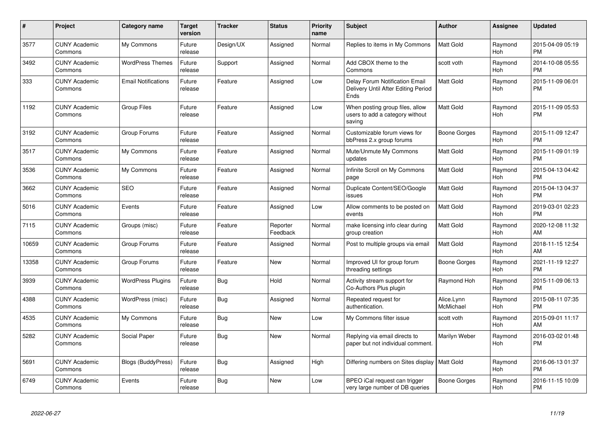| #     | Project                         | <b>Category name</b>       | <b>Target</b><br>version | <b>Tracker</b> | <b>Status</b>        | <b>Priority</b><br>name | <b>Subject</b>                                                                | <b>Author</b>           | <b>Assignee</b>       | <b>Updated</b>                |
|-------|---------------------------------|----------------------------|--------------------------|----------------|----------------------|-------------------------|-------------------------------------------------------------------------------|-------------------------|-----------------------|-------------------------------|
| 3577  | <b>CUNY Academic</b><br>Commons | My Commons                 | Future<br>release        | Design/UX      | Assigned             | Normal                  | Replies to items in My Commons                                                | Matt Gold               | Raymond<br><b>Hoh</b> | 2015-04-09 05:19<br><b>PM</b> |
| 3492  | <b>CUNY Academic</b><br>Commons | <b>WordPress Themes</b>    | Future<br>release        | Support        | Assigned             | Normal                  | Add CBOX theme to the<br>Commons                                              | scott voth              | Raymond<br><b>Hoh</b> | 2014-10-08 05:55<br><b>PM</b> |
| 333   | <b>CUNY Academic</b><br>Commons | <b>Email Notifications</b> | Future<br>release        | Feature        | Assigned             | Low                     | Delay Forum Notification Email<br>Delivery Until After Editing Period<br>Ends | Matt Gold               | Raymond<br>Hoh        | 2015-11-09 06:01<br><b>PM</b> |
| 1192  | <b>CUNY Academic</b><br>Commons | <b>Group Files</b>         | Future<br>release        | Feature        | Assigned             | Low                     | When posting group files, allow<br>users to add a category without<br>saving  | Matt Gold               | Raymond<br>Hoh        | 2015-11-09 05:53<br>PМ        |
| 3192  | <b>CUNY Academic</b><br>Commons | Group Forums               | Future<br>release        | Feature        | Assigned             | Normal                  | Customizable forum views for<br>bbPress 2.x group forums                      | Boone Gorges            | Raymond<br>Hoh        | 2015-11-09 12:47<br><b>PM</b> |
| 3517  | <b>CUNY Academic</b><br>Commons | My Commons                 | Future<br>release        | Feature        | Assigned             | Normal                  | Mute/Unmute My Commons<br>updates                                             | Matt Gold               | Raymond<br>Hoh        | 2015-11-09 01:19<br><b>PM</b> |
| 3536  | <b>CUNY Academic</b><br>Commons | My Commons                 | Future<br>release        | Feature        | Assigned             | Normal                  | Infinite Scroll on My Commons<br>page                                         | Matt Gold               | Raymond<br>Hoh        | 2015-04-13 04:42<br><b>PM</b> |
| 3662  | <b>CUNY Academic</b><br>Commons | <b>SEO</b>                 | Future<br>release        | Feature        | Assigned             | Normal                  | Duplicate Content/SEO/Google<br>issues                                        | Matt Gold               | Raymond<br>Hoh        | 2015-04-13 04:37<br>PM        |
| 5016  | <b>CUNY Academic</b><br>Commons | Events                     | Future<br>release        | Feature        | Assigned             | Low                     | Allow comments to be posted on<br>events                                      | Matt Gold               | Raymond<br>Hoh        | 2019-03-01 02:23<br>PM        |
| 7115  | <b>CUNY Academic</b><br>Commons | Groups (misc)              | Future<br>release        | Feature        | Reporter<br>Feedback | Normal                  | make licensing info clear during<br>group creation                            | Matt Gold               | Raymond<br>Hoh        | 2020-12-08 11:32<br>AM        |
| 10659 | <b>CUNY Academic</b><br>Commons | Group Forums               | Future<br>release        | Feature        | Assigned             | Normal                  | Post to multiple groups via email                                             | Matt Gold               | Raymond<br><b>Hoh</b> | 2018-11-15 12:54<br>AM        |
| 13358 | <b>CUNY Academic</b><br>Commons | Group Forums               | Future<br>release        | Feature        | New                  | Normal                  | Improved UI for group forum<br>threading settings                             | Boone Gorges            | Raymond<br><b>Hoh</b> | 2021-11-19 12:27<br><b>PM</b> |
| 3939  | <b>CUNY Academic</b><br>Commons | <b>WordPress Plugins</b>   | Future<br>release        | Bug            | Hold                 | Normal                  | Activity stream support for<br>Co-Authors Plus plugin                         | Raymond Hoh             | Raymond<br>Hoh        | 2015-11-09 06:13<br><b>PM</b> |
| 4388  | <b>CUNY Academic</b><br>Commons | WordPress (misc)           | Future<br>release        | <b>Bug</b>     | Assigned             | Normal                  | Repeated request for<br>authentication.                                       | Alice.Lynn<br>McMichael | Raymond<br>Hoh        | 2015-08-11 07:35<br><b>PM</b> |
| 4535  | <b>CUNY Academic</b><br>Commons | My Commons                 | Future<br>release        | Bug            | New                  | Low                     | My Commons filter issue                                                       | scott voth              | Raymond<br><b>Hoh</b> | 2015-09-01 11:17<br>AM        |
| 5282  | <b>CUNY Academic</b><br>Commons | Social Paper               | Future<br>release        | Bug            | New                  | Normal                  | Replying via email directs to<br>paper but not individual comment.            | Marilyn Weber           | Raymond<br><b>Hoh</b> | 2016-03-02 01:48<br><b>PM</b> |
| 5691  | <b>CUNY Academic</b><br>Commons | <b>Blogs (BuddyPress)</b>  | Future<br>release        | <b>Bug</b>     | Assigned             | High                    | Differing numbers on Sites display   Matt Gold                                |                         | Raymond<br><b>Hoh</b> | 2016-06-13 01:37<br><b>PM</b> |
| 6749  | <b>CUNY Academic</b><br>Commons | Events                     | Future<br>release        | Bug            | <b>New</b>           | Low                     | BPEO iCal request can trigger<br>very large number of DB queries              | Boone Gorges            | Raymond<br>Hoh        | 2016-11-15 10:09<br><b>PM</b> |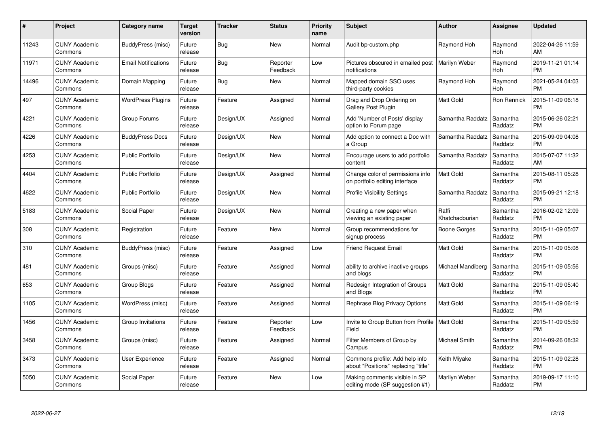| $\#$  | Project                         | Category name              | <b>Target</b><br>version | <b>Tracker</b> | <b>Status</b>        | <b>Priority</b><br>name | <b>Subject</b>                                                        | <b>Author</b>           | <b>Assignee</b>       | <b>Updated</b>                |
|-------|---------------------------------|----------------------------|--------------------------|----------------|----------------------|-------------------------|-----------------------------------------------------------------------|-------------------------|-----------------------|-------------------------------|
| 11243 | <b>CUNY Academic</b><br>Commons | BuddyPress (misc)          | Future<br>release        | <b>Bug</b>     | <b>New</b>           | Normal                  | Audit bp-custom.php                                                   | Raymond Hoh             | Raymond<br>Hoh        | 2022-04-26 11:59<br>AM        |
| 11971 | <b>CUNY Academic</b><br>Commons | <b>Email Notifications</b> | Future<br>release        | <b>Bug</b>     | Reporter<br>Feedback | Low                     | Pictures obscured in emailed post   Marilyn Weber<br>notifications    |                         | Raymond<br>Hoh        | 2019-11-21 01:14<br><b>PM</b> |
| 14496 | <b>CUNY Academic</b><br>Commons | Domain Mapping             | Future<br>release        | <b>Bug</b>     | <b>New</b>           | Normal                  | Mapped domain SSO uses<br>third-party cookies                         | Raymond Hoh             | Raymond<br><b>Hoh</b> | 2021-05-24 04:03<br><b>PM</b> |
| 497   | <b>CUNY Academic</b><br>Commons | <b>WordPress Plugins</b>   | Future<br>release        | Feature        | Assigned             | Normal                  | Drag and Drop Ordering on<br><b>Gallery Post Plugin</b>               | Matt Gold               | Ron Rennick           | 2015-11-09 06:18<br><b>PM</b> |
| 4221  | <b>CUNY Academic</b><br>Commons | Group Forums               | Future<br>release        | Design/UX      | Assigned             | Normal                  | Add 'Number of Posts' display<br>option to Forum page                 | Samantha Raddatz        | Samantha<br>Raddatz   | 2015-06-26 02:21<br><b>PM</b> |
| 4226  | <b>CUNY Academic</b><br>Commons | <b>BuddyPress Docs</b>     | Future<br>release        | Design/UX      | <b>New</b>           | Normal                  | Add option to connect a Doc with<br>a Group                           | Samantha Raddatz        | Samantha<br>Raddatz   | 2015-09-09 04:08<br><b>PM</b> |
| 4253  | <b>CUNY Academic</b><br>Commons | <b>Public Portfolio</b>    | Future<br>release        | Design/UX      | <b>New</b>           | Normal                  | Encourage users to add portfolio<br>content                           | Samantha Raddatz        | Samantha<br>Raddatz   | 2015-07-07 11:32<br>AM        |
| 4404  | <b>CUNY Academic</b><br>Commons | <b>Public Portfolio</b>    | Future<br>release        | Design/UX      | Assigned             | Normal                  | Change color of permissions info<br>on portfolio editing interface    | <b>Matt Gold</b>        | Samantha<br>Raddatz   | 2015-08-11 05:28<br><b>PM</b> |
| 4622  | <b>CUNY Academic</b><br>Commons | <b>Public Portfolio</b>    | Future<br>release        | Design/UX      | <b>New</b>           | Normal                  | <b>Profile Visibility Settings</b>                                    | Samantha Raddatz        | Samantha<br>Raddatz   | 2015-09-21 12:18<br><b>PM</b> |
| 5183  | <b>CUNY Academic</b><br>Commons | Social Paper               | Future<br>release        | Design/UX      | <b>New</b>           | Normal                  | Creating a new paper when<br>viewing an existing paper                | Raffi<br>Khatchadourian | Samantha<br>Raddatz   | 2016-02-02 12:09<br><b>PM</b> |
| 308   | <b>CUNY Academic</b><br>Commons | Registration               | Future<br>release        | Feature        | <b>New</b>           | Normal                  | Group recommendations for<br>signup process                           | Boone Gorges            | Samantha<br>Raddatz   | 2015-11-09 05:07<br><b>PM</b> |
| 310   | <b>CUNY Academic</b><br>Commons | BuddyPress (misc)          | Future<br>release        | Feature        | Assigned             | Low                     | <b>Friend Request Email</b>                                           | <b>Matt Gold</b>        | Samantha<br>Raddatz   | 2015-11-09 05:08<br><b>PM</b> |
| 481   | <b>CUNY Academic</b><br>Commons | Groups (misc)              | Future<br>release        | Feature        | Assigned             | Normal                  | ability to archive inactive groups<br>and blogs                       | Michael Mandiberg       | Samantha<br>Raddatz   | 2015-11-09 05:56<br><b>PM</b> |
| 653   | <b>CUNY Academic</b><br>Commons | Group Blogs                | Future<br>release        | Feature        | Assigned             | Normal                  | Redesign Integration of Groups<br>and Blogs                           | <b>Matt Gold</b>        | Samantha<br>Raddatz   | 2015-11-09 05:40<br><b>PM</b> |
| 1105  | <b>CUNY Academic</b><br>Commons | WordPress (misc)           | Future<br>release        | Feature        | Assigned             | Normal                  | Rephrase Blog Privacy Options                                         | Matt Gold               | Samantha<br>Raddatz   | 2015-11-09 06:19<br><b>PM</b> |
| 1456  | <b>CUNY Academic</b><br>Commons | Group Invitations          | Future<br>release        | Feature        | Reporter<br>Feedback | Low                     | Invite to Group Button from Profile   Matt Gold<br>Field              |                         | Samantha<br>Raddatz   | 2015-11-09 05:59<br><b>PM</b> |
| 3458  | <b>CUNY Academic</b><br>Commons | Groups (misc)              | Future<br>release        | Feature        | Assigned             | Normal                  | Filter Members of Group by<br>Campus                                  | Michael Smith           | Samantha<br>Raddatz   | 2014-09-26 08:32<br><b>PM</b> |
| 3473  | <b>CUNY Academic</b><br>Commons | User Experience            | Future<br>release        | Feature        | Assigned             | Normal                  | Commons profile: Add help info<br>about "Positions" replacing "title" | Keith Miyake            | Samantha<br>Raddatz   | 2015-11-09 02:28<br><b>PM</b> |
| 5050  | CUNY Academic<br>Commons        | Social Paper               | Future<br>release        | Feature        | <b>New</b>           | Low                     | Making comments visible in SP<br>editing mode (SP suggestion #1)      | Marilyn Weber           | Samantha<br>Raddatz   | 2019-09-17 11:10<br>PM        |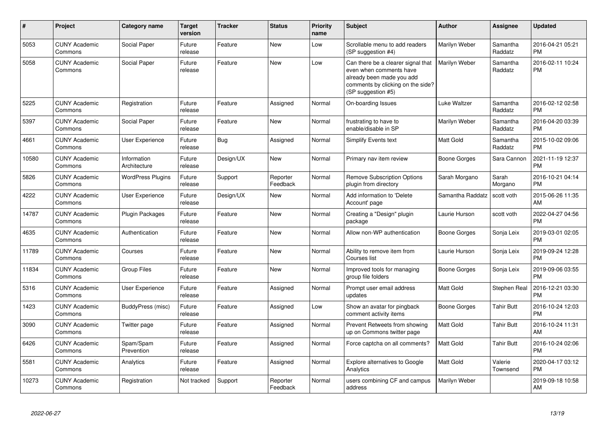| #     | Project                         | <b>Category name</b>        | Target<br>version | <b>Tracker</b> | <b>Status</b>        | <b>Priority</b><br>name | <b>Subject</b>                                                                                                                                        | <b>Author</b>    | <b>Assignee</b>     | <b>Updated</b>                |
|-------|---------------------------------|-----------------------------|-------------------|----------------|----------------------|-------------------------|-------------------------------------------------------------------------------------------------------------------------------------------------------|------------------|---------------------|-------------------------------|
| 5053  | <b>CUNY Academic</b><br>Commons | Social Paper                | Future<br>release | Feature        | <b>New</b>           | Low                     | Scrollable menu to add readers<br>(SP suggestion #4)                                                                                                  | Marilyn Weber    | Samantha<br>Raddatz | 2016-04-21 05:21<br><b>PM</b> |
| 5058  | <b>CUNY Academic</b><br>Commons | Social Paper                | Future<br>release | Feature        | <b>New</b>           | Low                     | Can there be a clearer signal that<br>even when comments have<br>already been made you add<br>comments by clicking on the side?<br>(SP suggestion #5) | Marilyn Weber    | Samantha<br>Raddatz | 2016-02-11 10:24<br><b>PM</b> |
| 5225  | <b>CUNY Academic</b><br>Commons | Registration                | Future<br>release | Feature        | Assigned             | Normal                  | On-boarding Issues                                                                                                                                    | Luke Waltzer     | Samantha<br>Raddatz | 2016-02-12 02:58<br><b>PM</b> |
| 5397  | <b>CUNY Academic</b><br>Commons | Social Paper                | Future<br>release | Feature        | New                  | Normal                  | frustrating to have to<br>enable/disable in SP                                                                                                        | Marilyn Weber    | Samantha<br>Raddatz | 2016-04-20 03:39<br><b>PM</b> |
| 4661  | <b>CUNY Academic</b><br>Commons | <b>User Experience</b>      | Future<br>release | <b>Bug</b>     | Assigned             | Normal                  | Simplify Events text                                                                                                                                  | Matt Gold        | Samantha<br>Raddatz | 2015-10-02 09:06<br><b>PM</b> |
| 10580 | <b>CUNY Academic</b><br>Commons | Information<br>Architecture | Future<br>release | Design/UX      | New                  | Normal                  | Primary nav item review                                                                                                                               | Boone Gorges     | Sara Cannon         | 2021-11-19 12:37<br><b>PM</b> |
| 5826  | <b>CUNY Academic</b><br>Commons | <b>WordPress Plugins</b>    | Future<br>release | Support        | Reporter<br>Feedback | Normal                  | <b>Remove Subscription Options</b><br>plugin from directory                                                                                           | Sarah Morgano    | Sarah<br>Morgano    | 2016-10-21 04:14<br><b>PM</b> |
| 4222  | <b>CUNY Academic</b><br>Commons | User Experience             | Future<br>release | Design/UX      | <b>New</b>           | Normal                  | Add information to 'Delete<br>Account' page                                                                                                           | Samantha Raddatz | scott voth          | 2015-06-26 11:35<br>AM        |
| 14787 | <b>CUNY Academic</b><br>Commons | <b>Plugin Packages</b>      | Future<br>release | Feature        | <b>New</b>           | Normal                  | Creating a "Design" plugin<br>package                                                                                                                 | Laurie Hurson    | scott voth          | 2022-04-27 04:56<br><b>PM</b> |
| 4635  | <b>CUNY Academic</b><br>Commons | Authentication              | Future<br>release | Feature        | <b>New</b>           | Normal                  | Allow non-WP authentication                                                                                                                           | Boone Gorges     | Sonja Leix          | 2019-03-01 02:05<br><b>PM</b> |
| 11789 | <b>CUNY Academic</b><br>Commons | Courses                     | Future<br>release | Feature        | <b>New</b>           | Normal                  | Ability to remove item from<br>Courses list                                                                                                           | Laurie Hurson    | Sonja Leix          | 2019-09-24 12:28<br><b>PM</b> |
| 11834 | <b>CUNY Academic</b><br>Commons | <b>Group Files</b>          | Future<br>release | Feature        | <b>New</b>           | Normal                  | Improved tools for managing<br>group file folders                                                                                                     | Boone Gorges     | Sonja Leix          | 2019-09-06 03:55<br><b>PM</b> |
| 5316  | <b>CUNY Academic</b><br>Commons | User Experience             | Future<br>release | Feature        | Assigned             | Normal                  | Prompt user email address<br>updates                                                                                                                  | Matt Gold        | Stephen Real        | 2016-12-21 03:30<br><b>PM</b> |
| 1423  | <b>CUNY Academic</b><br>Commons | BuddyPress (misc)           | Future<br>release | Feature        | Assigned             | Low                     | Show an avatar for pingback<br>comment activity items                                                                                                 | Boone Gorges     | <b>Tahir Butt</b>   | 2016-10-24 12:03<br><b>PM</b> |
| 3090  | <b>CUNY Academic</b><br>Commons | Twitter page                | Future<br>release | Feature        | Assigned             | Normal                  | Prevent Retweets from showing<br>up on Commons twitter page                                                                                           | <b>Matt Gold</b> | <b>Tahir Butt</b>   | 2016-10-24 11:31<br>AM        |
| 6426  | <b>CUNY Academic</b><br>Commons | Spam/Spam<br>Prevention     | Future<br>release | Feature        | Assigned             | Normal                  | Force captcha on all comments?                                                                                                                        | Matt Gold        | <b>Tahir Butt</b>   | 2016-10-24 02:06<br>PM        |
| 5581  | <b>CUNY Academic</b><br>Commons | Analytics                   | Future<br>release | Feature        | Assigned             | Normal                  | <b>Explore alternatives to Google</b><br>Analytics                                                                                                    | Matt Gold        | Valerie<br>Townsend | 2020-04-17 03:12<br><b>PM</b> |
| 10273 | <b>CUNY Academic</b><br>Commons | Registration                | Not tracked       | Support        | Reporter<br>Feedback | Normal                  | users combining CF and campus<br>address                                                                                                              | Marilyn Weber    |                     | 2019-09-18 10:58<br>AM        |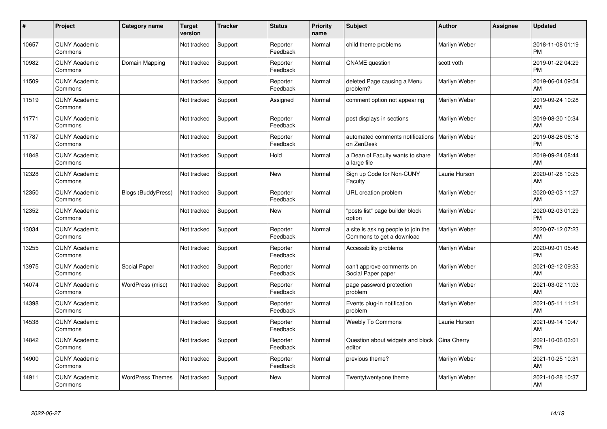| $\#$  | Project                         | <b>Category name</b>      | <b>Target</b><br>version | <b>Tracker</b> | <b>Status</b>        | <b>Priority</b><br>name | <b>Subject</b>                                                   | <b>Author</b> | <b>Assignee</b> | <b>Updated</b>                |
|-------|---------------------------------|---------------------------|--------------------------|----------------|----------------------|-------------------------|------------------------------------------------------------------|---------------|-----------------|-------------------------------|
| 10657 | <b>CUNY Academic</b><br>Commons |                           | Not tracked              | Support        | Reporter<br>Feedback | Normal                  | child theme problems                                             | Marilyn Weber |                 | 2018-11-08 01:19<br><b>PM</b> |
| 10982 | <b>CUNY Academic</b><br>Commons | Domain Mapping            | Not tracked              | Support        | Reporter<br>Feedback | Normal                  | <b>CNAME</b> question                                            | scott voth    |                 | 2019-01-22 04:29<br><b>PM</b> |
| 11509 | <b>CUNY Academic</b><br>Commons |                           | Not tracked              | Support        | Reporter<br>Feedback | Normal                  | deleted Page causing a Menu<br>problem?                          | Marilyn Weber |                 | 2019-06-04 09:54<br>AM        |
| 11519 | <b>CUNY Academic</b><br>Commons |                           | Not tracked              | Support        | Assigned             | Normal                  | comment option not appearing                                     | Marilyn Weber |                 | 2019-09-24 10:28<br>AM        |
| 11771 | <b>CUNY Academic</b><br>Commons |                           | Not tracked              | Support        | Reporter<br>Feedback | Normal                  | post displays in sections                                        | Marilyn Weber |                 | 2019-08-20 10:34<br>AM        |
| 11787 | <b>CUNY Academic</b><br>Commons |                           | Not tracked              | Support        | Reporter<br>Feedback | Normal                  | automated comments notifications<br>on ZenDesk                   | Marilyn Weber |                 | 2019-08-26 06:18<br><b>PM</b> |
| 11848 | <b>CUNY Academic</b><br>Commons |                           | Not tracked              | Support        | Hold                 | Normal                  | a Dean of Faculty wants to share<br>a large file                 | Marilyn Weber |                 | 2019-09-24 08:44<br>AM        |
| 12328 | <b>CUNY Academic</b><br>Commons |                           | Not tracked              | Support        | New                  | Normal                  | Sign up Code for Non-CUNY<br>Faculty                             | Laurie Hurson |                 | 2020-01-28 10:25<br>AM        |
| 12350 | <b>CUNY Academic</b><br>Commons | <b>Blogs (BuddyPress)</b> | Not tracked              | Support        | Reporter<br>Feedback | Normal                  | <b>URL</b> creation problem                                      | Marilyn Weber |                 | 2020-02-03 11:27<br>AM        |
| 12352 | <b>CUNY Academic</b><br>Commons |                           | Not tracked              | Support        | New                  | Normal                  | 'posts list" page builder block<br>option                        | Marilyn Weber |                 | 2020-02-03 01:29<br><b>PM</b> |
| 13034 | <b>CUNY Academic</b><br>Commons |                           | Not tracked              | Support        | Reporter<br>Feedback | Normal                  | a site is asking people to join the<br>Commons to get a download | Marilyn Weber |                 | 2020-07-12 07:23<br>AM        |
| 13255 | <b>CUNY Academic</b><br>Commons |                           | Not tracked              | Support        | Reporter<br>Feedback | Normal                  | Accessibility problems                                           | Marilyn Weber |                 | 2020-09-01 05:48<br><b>PM</b> |
| 13975 | <b>CUNY Academic</b><br>Commons | Social Paper              | Not tracked              | Support        | Reporter<br>Feedback | Normal                  | can't approve comments on<br>Social Paper paper                  | Marilyn Weber |                 | 2021-02-12 09:33<br>AM        |
| 14074 | <b>CUNY Academic</b><br>Commons | WordPress (misc)          | Not tracked              | Support        | Reporter<br>Feedback | Normal                  | page password protection<br>problem                              | Marilyn Weber |                 | 2021-03-02 11:03<br>AM        |
| 14398 | <b>CUNY Academic</b><br>Commons |                           | Not tracked              | Support        | Reporter<br>Feedback | Normal                  | Events plug-in notification<br>problem                           | Marilyn Weber |                 | 2021-05-11 11:21<br>AM        |
| 14538 | <b>CUNY Academic</b><br>Commons |                           | Not tracked              | Support        | Reporter<br>Feedback | Normal                  | Weebly To Commons                                                | Laurie Hurson |                 | 2021-09-14 10:47<br>AM        |
| 14842 | <b>CUNY Academic</b><br>Commons |                           | Not tracked              | Support        | Reporter<br>Feedback | Normal                  | Question about widgets and block<br>editor                       | Gina Cherry   |                 | 2021-10-06 03:01<br><b>PM</b> |
| 14900 | <b>CUNY Academic</b><br>Commons |                           | Not tracked              | Support        | Reporter<br>Feedback | Normal                  | previous theme?                                                  | Marilyn Weber |                 | 2021-10-25 10:31<br>AM        |
| 14911 | <b>CUNY Academic</b><br>Commons | <b>WordPress Themes</b>   | Not tracked              | Support        | <b>New</b>           | Normal                  | Twentytwentyone theme                                            | Marilyn Weber |                 | 2021-10-28 10:37<br>AM        |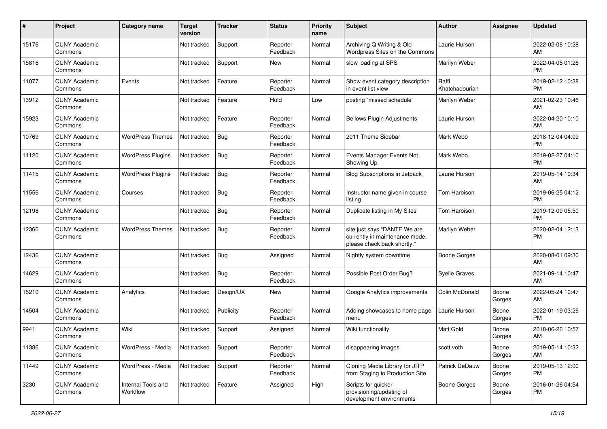| #     | Project                         | <b>Category name</b>           | <b>Target</b><br>version | <b>Tracker</b> | <b>Status</b>        | <b>Priority</b><br>name | <b>Subject</b>                                                                                | <b>Author</b>           | <b>Assignee</b> | <b>Updated</b>                |
|-------|---------------------------------|--------------------------------|--------------------------|----------------|----------------------|-------------------------|-----------------------------------------------------------------------------------------------|-------------------------|-----------------|-------------------------------|
| 15176 | <b>CUNY Academic</b><br>Commons |                                | Not tracked              | Support        | Reporter<br>Feedback | Normal                  | Archiving Q Writing & Old<br>Wordpress Sites on the Commons                                   | Laurie Hurson           |                 | 2022-02-08 10:28<br>AM        |
| 15816 | <b>CUNY Academic</b><br>Commons |                                | Not tracked              | Support        | New                  | Normal                  | slow loading at SPS                                                                           | Marilyn Weber           |                 | 2022-04-05 01:26<br><b>PM</b> |
| 11077 | <b>CUNY Academic</b><br>Commons | Events                         | Not tracked              | Feature        | Reporter<br>Feedback | Normal                  | Show event category description<br>in event list view                                         | Raffi<br>Khatchadourian |                 | 2019-02-12 10:38<br><b>PM</b> |
| 13912 | <b>CUNY Academic</b><br>Commons |                                | Not tracked              | Feature        | Hold                 | Low                     | posting "missed schedule"                                                                     | Marilyn Weber           |                 | 2021-02-23 10:46<br>AM        |
| 15923 | <b>CUNY Academic</b><br>Commons |                                | Not tracked              | Feature        | Reporter<br>Feedback | Normal                  | <b>Bellows Plugin Adjustments</b>                                                             | Laurie Hurson           |                 | 2022-04-20 10:10<br>AM        |
| 10769 | <b>CUNY Academic</b><br>Commons | <b>WordPress Themes</b>        | Not tracked              | Bug            | Reporter<br>Feedback | Normal                  | 2011 Theme Sidebar                                                                            | Mark Webb               |                 | 2018-12-04 04:09<br><b>PM</b> |
| 11120 | <b>CUNY Academic</b><br>Commons | <b>WordPress Plugins</b>       | Not tracked              | <b>Bug</b>     | Reporter<br>Feedback | Normal                  | Events Manager Events Not<br>Showing Up                                                       | Mark Webb               |                 | 2019-02-27 04:10<br><b>PM</b> |
| 11415 | <b>CUNY Academic</b><br>Commons | <b>WordPress Plugins</b>       | Not tracked              | Bug            | Reporter<br>Feedback | Normal                  | <b>Blog Subscriptions in Jetpack</b>                                                          | Laurie Hurson           |                 | 2019-05-14 10:34<br>AM        |
| 11556 | <b>CUNY Academic</b><br>Commons | Courses                        | Not tracked              | <b>Bug</b>     | Reporter<br>Feedback | Normal                  | Instructor name given in course<br>listing                                                    | Tom Harbison            |                 | 2019-06-25 04:12<br><b>PM</b> |
| 12198 | <b>CUNY Academic</b><br>Commons |                                | Not tracked              | Bug            | Reporter<br>Feedback | Normal                  | Duplicate listing in My Sites                                                                 | Tom Harbison            |                 | 2019-12-09 05:50<br><b>PM</b> |
| 12360 | <b>CUNY Academic</b><br>Commons | <b>WordPress Themes</b>        | Not tracked              | Bug            | Reporter<br>Feedback | Normal                  | site just says "DANTE We are<br>currently in maintenance mode,<br>please check back shortly." | Marilyn Weber           |                 | 2020-02-04 12:13<br><b>PM</b> |
| 12436 | <b>CUNY Academic</b><br>Commons |                                | Not tracked              | Bug            | Assigned             | Normal                  | Nightly system downtime                                                                       | Boone Gorges            |                 | 2020-08-01 09:30<br>AM        |
| 14629 | <b>CUNY Academic</b><br>Commons |                                | Not tracked              | Bug            | Reporter<br>Feedback | Normal                  | Possible Post Order Bug?                                                                      | <b>Syelle Graves</b>    |                 | 2021-09-14 10:47<br>AM        |
| 15210 | <b>CUNY Academic</b><br>Commons | Analytics                      | Not tracked              | Design/UX      | New                  | Normal                  | Google Analytics improvements                                                                 | Colin McDonald          | Boone<br>Gorges | 2022-05-24 10:47<br>AM        |
| 14504 | <b>CUNY Academic</b><br>Commons |                                | Not tracked              | Publicity      | Reporter<br>Feedback | Normal                  | Adding showcases to home page<br>menu                                                         | Laurie Hurson           | Boone<br>Gorges | 2022-01-19 03:26<br><b>PM</b> |
| 9941  | <b>CUNY Academic</b><br>Commons | Wiki                           | Not tracked              | Support        | Assigned             | Normal                  | Wiki functionality                                                                            | <b>Matt Gold</b>        | Boone<br>Gorges | 2018-06-26 10:57<br>AM        |
| 11386 | <b>CUNY Academic</b><br>Commons | WordPress - Media              | Not tracked              | Support        | Reporter<br>Feedback | Normal                  | disappearing images                                                                           | scott voth              | Boone<br>Gorges | 2019-05-14 10:32<br>AM        |
| 11449 | <b>CUNY Academic</b><br>Commons | WordPress - Media              | Not tracked              | Support        | Reporter<br>Feedback | Normal                  | Cloning Media Library for JITP<br>from Staging to Production Site                             | Patrick DeDauw          | Boone<br>Gorges | 2019-05-13 12:00<br><b>PM</b> |
| 3230  | <b>CUNY Academic</b><br>Commons | Internal Tools and<br>Workflow | Not tracked              | Feature        | Assigned             | High                    | Scripts for quicker<br>provisioning/updating of<br>development environments                   | <b>Boone Gorges</b>     | Boone<br>Gorges | 2016-01-26 04:54<br>PM        |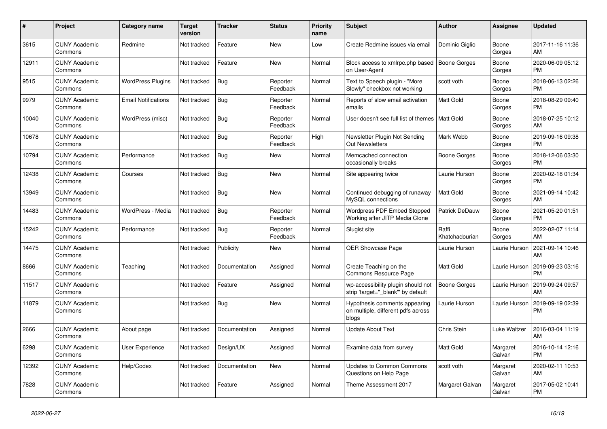| #     | <b>Project</b>                  | <b>Category name</b>       | Target<br>version | Tracker       | <b>Status</b>        | <b>Priority</b><br>name | <b>Subject</b>                                                               | <b>Author</b>           | Assignee           | <b>Updated</b>                |
|-------|---------------------------------|----------------------------|-------------------|---------------|----------------------|-------------------------|------------------------------------------------------------------------------|-------------------------|--------------------|-------------------------------|
| 3615  | <b>CUNY Academic</b><br>Commons | Redmine                    | Not tracked       | Feature       | New                  | Low                     | Create Redmine issues via emai                                               | Dominic Giglio          | Boone<br>Gorges    | 2017-11-16 11:36<br>AM        |
| 12911 | <b>CUNY Academic</b><br>Commons |                            | Not tracked       | Feature       | <b>New</b>           | Normal                  | Block access to xmlrpc.php based<br>on User-Agent                            | <b>Boone Gorges</b>     | Boone<br>Gorges    | 2020-06-09 05:12<br><b>PM</b> |
| 9515  | <b>CUNY Academic</b><br>Commons | <b>WordPress Plugins</b>   | Not tracked       | Bug           | Reporter<br>Feedback | Normal                  | Text to Speech plugin - "More<br>Slowly" checkbox not working                | scott voth              | Boone<br>Gorges    | 2018-06-13 02:26<br><b>PM</b> |
| 9979  | <b>CUNY Academic</b><br>Commons | <b>Email Notifications</b> | Not tracked       | <b>Bug</b>    | Reporter<br>Feedback | Normal                  | Reports of slow email activation<br>emails                                   | <b>Matt Gold</b>        | Boone<br>Gorges    | 2018-08-29 09:40<br><b>PM</b> |
| 10040 | <b>CUNY Academic</b><br>Commons | WordPress (misc)           | Not tracked       | <b>Bug</b>    | Reporter<br>Feedback | Normal                  | User doesn't see full list of themes                                         | <b>Matt Gold</b>        | Boone<br>Gorges    | 2018-07-25 10:12<br>AM        |
| 10678 | <b>CUNY Academic</b><br>Commons |                            | Not tracked       | Bug           | Reporter<br>Feedback | High                    | Newsletter Plugin Not Sending<br><b>Out Newsletters</b>                      | Mark Webb               | Boone<br>Gorges    | 2019-09-16 09:38<br><b>PM</b> |
| 10794 | <b>CUNY Academic</b><br>Commons | Performance                | Not tracked       | <b>Bug</b>    | New                  | Normal                  | Memcached connection<br>occasionally breaks                                  | <b>Boone Gorges</b>     | Boone<br>Gorges    | 2018-12-06 03:30<br><b>PM</b> |
| 12438 | <b>CUNY Academic</b><br>Commons | Courses                    | Not tracked       | Bug           | <b>New</b>           | Normal                  | Site appearing twice                                                         | Laurie Hurson           | Boone<br>Gorges    | 2020-02-18 01:34<br><b>PM</b> |
| 13949 | <b>CUNY Academic</b><br>Commons |                            | Not tracked       | Bug           | <b>New</b>           | Normal                  | Continued debugging of runaway<br>MySQL connections                          | <b>Matt Gold</b>        | Boone<br>Gorges    | 2021-09-14 10:42<br>AM        |
| 14483 | <b>CUNY Academic</b><br>Commons | WordPress - Media          | Not tracked       | <b>Bug</b>    | Reporter<br>Feedback | Normal                  | <b>Wordpress PDF Embed Stopped</b><br>Working after JITP Media Clone         | Patrick DeDauw          | Boone<br>Gorges    | 2021-05-20 01:51<br><b>PM</b> |
| 15242 | <b>CUNY Academic</b><br>Commons | Performance                | Not tracked       | Bug           | Reporter<br>Feedback | Normal                  | Slugist site                                                                 | Raffi<br>Khatchadourian | Boone<br>Gorges    | 2022-02-07 11:14<br>AM        |
| 14475 | <b>CUNY Academic</b><br>Commons |                            | Not tracked       | Publicity     | New                  | Normal                  | OER Showcase Page                                                            | Laurie Hurson           | Laurie Hurson      | 2021-09-14 10:46<br>AM        |
| 8666  | <b>CUNY Academic</b><br>Commons | Teaching                   | Not tracked       | Documentation | Assigned             | Normal                  | Create Teaching on the<br>Commons Resource Page                              | <b>Matt Gold</b>        | Laurie Hurson      | 2019-09-23 03:16<br><b>PM</b> |
| 11517 | <b>CUNY Academic</b><br>Commons |                            | Not tracked       | Feature       | Assigned             | Normal                  | wp-accessibility plugin should not<br>strip 'target="_blank" by default      | Boone Gorges            | Laurie Hurson      | 2019-09-24 09:57<br>AM        |
| 11879 | <b>CUNY Academic</b><br>Commons |                            | Not tracked       | Bug           | <b>New</b>           | Normal                  | Hypothesis comments appearing<br>on multiple, different pdfs across<br>blogs | Laurie Hurson           | Laurie Hurson      | 2019-09-19 02:39<br><b>PM</b> |
| 2666  | <b>CUNY Academic</b><br>Commons | About page                 | Not tracked       | Documentation | Assigned             | Normal                  | <b>Update About Text</b>                                                     | Chris Stein             | Luke Waltzer       | 2016-03-04 11:19<br>AM        |
| 6298  | <b>CUNY Academic</b><br>Commons | User Experience            | Not tracked       | Design/UX     | Assigned             | Normal                  | Examine data from survey                                                     | Matt Gold               | Margaret<br>Galvan | 2016-10-14 12:16<br><b>PM</b> |
| 12392 | <b>CUNY Academic</b><br>Commons | Help/Codex                 | Not tracked       | Documentation | <b>New</b>           | Normal                  | <b>Updates to Common Commons</b><br>Questions on Help Page                   | scott voth              | Margaret<br>Galvan | 2020-02-11 10:53<br>AM        |
| 7828  | <b>CUNY Academic</b><br>Commons |                            | Not tracked       | Feature       | Assigned             | Normal                  | Theme Assessment 2017                                                        | Margaret Galvan         | Margaret<br>Galvan | 2017-05-02 10:41<br><b>PM</b> |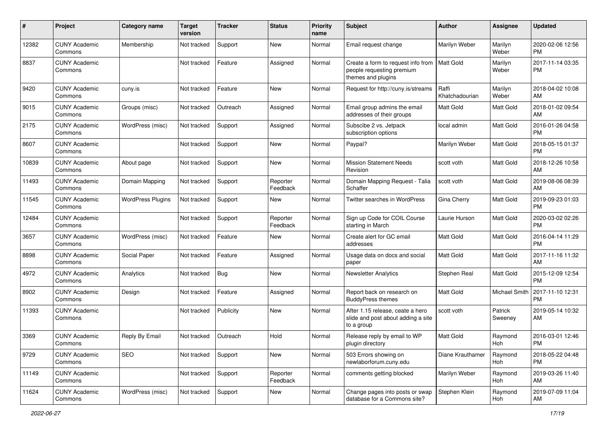| #     | Project                         | <b>Category name</b>     | <b>Target</b><br>version | <b>Tracker</b> | <b>Status</b>        | <b>Priority</b><br>name | Subject                                                                               | <b>Author</b>           | <b>Assignee</b>    | <b>Updated</b>                |
|-------|---------------------------------|--------------------------|--------------------------|----------------|----------------------|-------------------------|---------------------------------------------------------------------------------------|-------------------------|--------------------|-------------------------------|
| 12382 | <b>CUNY Academic</b><br>Commons | Membership               | Not tracked              | Support        | <b>New</b>           | Normal                  | Email request change                                                                  | Marilyn Weber           | Marilyn<br>Weber   | 2020-02-06 12:56<br><b>PM</b> |
| 8837  | <b>CUNY Academic</b><br>Commons |                          | Not tracked              | Feature        | Assigned             | Normal                  | Create a form to request info from<br>people requesting premium<br>themes and plugins | <b>Matt Gold</b>        | Marilyn<br>Weber   | 2017-11-14 03:35<br><b>PM</b> |
| 9420  | <b>CUNY Academic</b><br>Commons | cuny.is                  | Not tracked              | Feature        | <b>New</b>           | Normal                  | Request for http://cuny.is/streams                                                    | Raffi<br>Khatchadourian | Marilyn<br>Weber   | 2018-04-02 10:08<br>AM        |
| 9015  | <b>CUNY Academic</b><br>Commons | Groups (misc)            | Not tracked              | Outreach       | Assigned             | Normal                  | Email group admins the email<br>addresses of their groups                             | Matt Gold               | Matt Gold          | 2018-01-02 09:54<br>AM        |
| 2175  | <b>CUNY Academic</b><br>Commons | WordPress (misc)         | Not tracked              | Support        | Assigned             | Normal                  | Subscibe 2 vs. Jetpack<br>subscription options                                        | local admin             | <b>Matt Gold</b>   | 2016-01-26 04:58<br><b>PM</b> |
| 8607  | <b>CUNY Academic</b><br>Commons |                          | Not tracked              | Support        | <b>New</b>           | Normal                  | Paypal?                                                                               | Marilyn Weber           | Matt Gold          | 2018-05-15 01:37<br><b>PM</b> |
| 10839 | <b>CUNY Academic</b><br>Commons | About page               | Not tracked              | Support        | <b>New</b>           | Normal                  | <b>Mission Statement Needs</b><br>Revision                                            | scott voth              | <b>Matt Gold</b>   | 2018-12-26 10:58<br>AM        |
| 11493 | <b>CUNY Academic</b><br>Commons | Domain Mapping           | Not tracked              | Support        | Reporter<br>Feedback | Normal                  | Domain Mapping Request - Talia<br>Schaffer                                            | scott voth              | <b>Matt Gold</b>   | 2019-08-06 08:39<br>AM        |
| 11545 | <b>CUNY Academic</b><br>Commons | <b>WordPress Plugins</b> | Not tracked              | Support        | <b>New</b>           | Normal                  | Twitter searches in WordPress                                                         | Gina Cherry             | Matt Gold          | 2019-09-23 01:03<br><b>PM</b> |
| 12484 | <b>CUNY Academic</b><br>Commons |                          | Not tracked              | Support        | Reporter<br>Feedback | Normal                  | Sign up Code for COIL Course<br>starting in March                                     | Laurie Hurson           | Matt Gold          | 2020-03-02 02:26<br><b>PM</b> |
| 3657  | <b>CUNY Academic</b><br>Commons | WordPress (misc)         | Not tracked              | Feature        | <b>New</b>           | Normal                  | Create alert for GC email<br>addresses                                                | <b>Matt Gold</b>        | Matt Gold          | 2016-04-14 11:29<br><b>PM</b> |
| 8898  | <b>CUNY Academic</b><br>Commons | Social Paper             | Not tracked              | Feature        | Assigned             | Normal                  | Usage data on docs and social<br>paper                                                | Matt Gold               | Matt Gold          | 2017-11-16 11:32<br>AM        |
| 4972  | <b>CUNY Academic</b><br>Commons | Analytics                | Not tracked              | Bug            | <b>New</b>           | Normal                  | <b>Newsletter Analytics</b>                                                           | Stephen Real            | <b>Matt Gold</b>   | 2015-12-09 12:54<br><b>PM</b> |
| 8902  | <b>CUNY Academic</b><br>Commons | Design                   | Not tracked              | Feature        | Assigned             | Normal                  | Report back on research on<br><b>BuddyPress themes</b>                                | <b>Matt Gold</b>        | Michael Smith      | 2017-11-10 12:31<br><b>PM</b> |
| 11393 | <b>CUNY Academic</b><br>Commons |                          | Not tracked              | Publicity      | <b>New</b>           | Normal                  | After 1.15 release, ceate a hero<br>slide and post about adding a site<br>to a group  | scott voth              | Patrick<br>Sweeney | 2019-05-14 10:32<br>AM        |
| 3369  | <b>CUNY Academic</b><br>Commons | Reply By Email           | Not tracked              | Outreach       | Hold                 | Normal                  | Release reply by email to WP<br>plugin directory                                      | Matt Gold               | Raymond<br>Hoh     | 2016-03-01 12:46<br><b>PM</b> |
| 9729  | <b>CUNY Academic</b><br>Commons | SEO                      | Not tracked              | Support        | New                  | Normal                  | 503 Errors showing on<br>newlaborforum.cuny.edu                                       | Diane Krauthamer        | Raymond<br>Hoh     | 2018-05-22 04:48<br><b>PM</b> |
| 11149 | <b>CUNY Academic</b><br>Commons |                          | Not tracked              | Support        | Reporter<br>Feedback | Normal                  | comments getting blocked                                                              | Marilyn Weber           | Raymond<br>Hoh     | 2019-03-26 11:40<br>AM        |
| 11624 | <b>CUNY Academic</b><br>Commons | WordPress (misc)         | Not tracked              | Support        | New                  | Normal                  | Change pages into posts or swap<br>database for a Commons site?                       | Stephen Klein           | Raymond<br>Hoh     | 2019-07-09 11:04<br>AM        |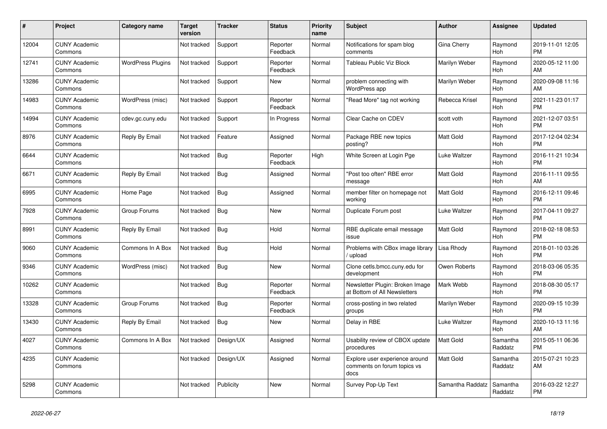| #     | <b>Project</b>                  | <b>Category name</b>     | <b>Target</b><br>version | Tracker    | <b>Status</b>        | <b>Priority</b><br>name | <b>Subject</b>                                                        | <b>Author</b>    | Assignee              | <b>Updated</b>                |
|-------|---------------------------------|--------------------------|--------------------------|------------|----------------------|-------------------------|-----------------------------------------------------------------------|------------------|-----------------------|-------------------------------|
| 12004 | <b>CUNY Academic</b><br>Commons |                          | Not tracked              | Support    | Reporter<br>Feedback | Normal                  | Notifications for spam blog<br>comments                               | Gina Cherry      | Raymond<br>Hoh        | 2019-11-01 12:05<br><b>PM</b> |
| 12741 | <b>CUNY Academic</b><br>Commons | <b>WordPress Plugins</b> | Not tracked              | Support    | Reporter<br>Feedback | Normal                  | Tableau Public Viz Block                                              | Marilyn Weber    | Raymond<br>Hoh        | 2020-05-12 11:00<br>AM        |
| 13286 | <b>CUNY Academic</b><br>Commons |                          | Not tracked              | Support    | New                  | Normal                  | problem connecting with<br><b>WordPress app</b>                       | Marilyn Weber    | Raymond<br><b>Hoh</b> | 2020-09-08 11:16<br>AM        |
| 14983 | <b>CUNY Academic</b><br>Commons | WordPress (misc)         | Not tracked              | Support    | Reporter<br>Feedback | Normal                  | "Read More" tag not working                                           | Rebecca Krisel   | Raymond<br>Hoh        | 2021-11-23 01:17<br><b>PM</b> |
| 14994 | <b>CUNY Academic</b><br>Commons | cdev.gc.cuny.edu         | Not tracked              | Support    | In Progress          | Normal                  | Clear Cache on CDEV                                                   | scott voth       | Raymond<br>Hoh        | 2021-12-07 03:51<br><b>PM</b> |
| 8976  | <b>CUNY Academic</b><br>Commons | Reply By Email           | Not tracked              | Feature    | Assigned             | Normal                  | Package RBE new topics<br>posting?                                    | Matt Gold        | Raymond<br><b>Hoh</b> | 2017-12-04 02:34<br><b>PM</b> |
| 6644  | <b>CUNY Academic</b><br>Commons |                          | Not tracked              | Bug        | Reporter<br>Feedback | High                    | White Screen at Login Pge                                             | Luke Waltzer     | Raymond<br>Hoh        | 2016-11-21 10:34<br><b>PM</b> |
| 6671  | <b>CUNY Academic</b><br>Commons | Reply By Email           | Not tracked              | <b>Bug</b> | Assigned             | Normal                  | "Post too often" RBE error<br>message                                 | Matt Gold        | Raymond<br>Hoh        | 2016-11-11 09:55<br>AM        |
| 6995  | <b>CUNY Academic</b><br>Commons | Home Page                | Not tracked              | <b>Bug</b> | Assigned             | Normal                  | member filter on homepage not<br>working                              | <b>Matt Gold</b> | Raymond<br>Hoh        | 2016-12-11 09:46<br><b>PM</b> |
| 7928  | <b>CUNY Academic</b><br>Commons | Group Forums             | Not tracked              | Bug        | <b>New</b>           | Normal                  | Duplicate Forum post                                                  | Luke Waltzer     | Raymond<br><b>Hoh</b> | 2017-04-11 09:27<br><b>PM</b> |
| 8991  | <b>CUNY Academic</b><br>Commons | Reply By Email           | Not tracked              | Bug        | Hold                 | Normal                  | RBE duplicate email message<br>issue                                  | Matt Gold        | Raymond<br>Hoh        | 2018-02-18 08:53<br><b>PM</b> |
| 9060  | <b>CUNY Academic</b><br>Commons | Commons In A Box         | Not tracked              | Bug        | Hold                 | Normal                  | Problems with CBox image library<br>upload                            | Lisa Rhody       | Raymond<br>Hoh        | 2018-01-10 03:26<br><b>PM</b> |
| 9346  | <b>CUNY Academic</b><br>Commons | WordPress (misc)         | Not tracked              | Bug        | <b>New</b>           | Normal                  | Clone cetls.bmcc.cuny.edu for<br>development                          | Owen Roberts     | Raymond<br><b>Hoh</b> | 2018-03-06 05:35<br><b>PM</b> |
| 10262 | <b>CUNY Academic</b><br>Commons |                          | Not tracked              | <b>Bug</b> | Reporter<br>Feedback | Normal                  | Newsletter Plugin: Broken Image<br>at Bottom of All Newsletters       | Mark Webb        | Raymond<br>Hoh        | 2018-08-30 05:17<br><b>PM</b> |
| 13328 | <b>CUNY Academic</b><br>Commons | Group Forums             | Not tracked              | Bug        | Reporter<br>Feedback | Normal                  | cross-posting in two related<br>groups                                | Marilyn Weber    | Raymond<br><b>Hoh</b> | 2020-09-15 10:39<br><b>PM</b> |
| 13430 | <b>CUNY Academic</b><br>Commons | Reply By Email           | Not tracked              | <b>Bug</b> | <b>New</b>           | Normal                  | Delay in RBE                                                          | Luke Waltzer     | Raymond<br>Hoh        | 2020-10-13 11:16<br>AM        |
| 4027  | <b>CUNY Academic</b><br>Commons | Commons In A Box         | Not tracked              | Design/UX  | Assigned             | Normal                  | Usability review of CBOX update<br>procedures                         | Matt Gold        | Samantha<br>Raddatz   | 2015-05-11 06:36<br><b>PM</b> |
| 4235  | <b>CUNY Academic</b><br>Commons |                          | Not tracked              | Design/UX  | Assigned             | Normal                  | Explore user experience around<br>comments on forum topics vs<br>docs | Matt Gold        | Samantha<br>Raddatz   | 2015-07-21 10:23<br>AM        |
| 5298  | <b>CUNY Academic</b><br>Commons |                          | Not tracked              | Publicity  | <b>New</b>           | Normal                  | Survey Pop-Up Text                                                    | Samantha Raddatz | Samantha<br>Raddatz   | 2016-03-22 12:27<br><b>PM</b> |